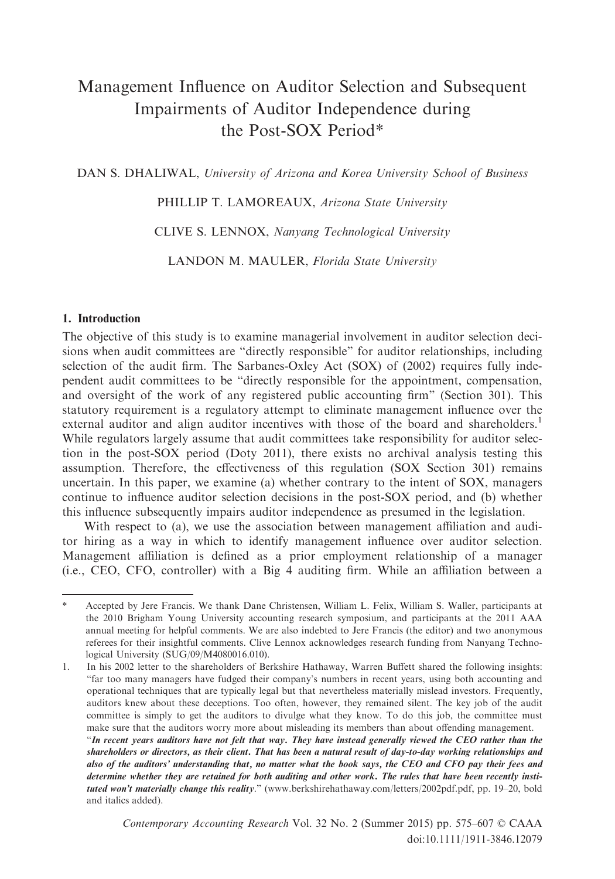# Management Influence on Auditor Selection and Subsequent Impairments of Auditor Independence during the Post-SOX Period\*

DAN S. DHALIWAL, University of Arizona and Korea University School of Business

## PHILLIP T. LAMOREAUX, Arizona State University

CLIVE S. LENNOX, Nanyang Technological University

LANDON M. MAULER, Florida State University

### 1. Introduction

The objective of this study is to examine managerial involvement in auditor selection decisions when audit committees are "directly responsible" for auditor relationships, including selection of the audit firm. The Sarbanes-Oxley Act (SOX) of (2002) requires fully independent audit committees to be "directly responsible for the appointment, compensation, and oversight of the work of any registered public accounting firm" (Section 301). This statutory requirement is a regulatory attempt to eliminate management influence over the external auditor and align auditor incentives with those of the board and shareholders.<sup>1</sup> While regulators largely assume that audit committees take responsibility for auditor selection in the post-SOX period (Doty 2011), there exists no archival analysis testing this assumption. Therefore, the effectiveness of this regulation (SOX Section 301) remains uncertain. In this paper, we examine (a) whether contrary to the intent of SOX, managers continue to influence auditor selection decisions in the post-SOX period, and (b) whether this influence subsequently impairs auditor independence as presumed in the legislation.

With respect to (a), we use the association between management affiliation and auditor hiring as a way in which to identify management influence over auditor selection. Management affiliation is defined as a prior employment relationship of a manager (i.e., CEO, CFO, controller) with a Big 4 auditing firm. While an affiliation between a

Accepted by Jere Francis. We thank Dane Christensen, William L. Felix, William S. Waller, participants at the 2010 Brigham Young University accounting research symposium, and participants at the 2011 AAA annual meeting for helpful comments. We are also indebted to Jere Francis (the editor) and two anonymous referees for their insightful comments. Clive Lennox acknowledges research funding from Nanyang Technological University (SUG/09/M4080016.010).

<sup>1.</sup> In his 2002 letter to the shareholders of Berkshire Hathaway, Warren Buffett shared the following insights: "far too many managers have fudged their company's numbers in recent years, using both accounting and operational techniques that are typically legal but that nevertheless materially mislead investors. Frequently, auditors knew about these deceptions. Too often, however, they remained silent. The key job of the audit committee is simply to get the auditors to divulge what they know. To do this job, the committee must make sure that the auditors worry more about misleading its members than about offending management.

<sup>&</sup>quot;In recent years auditors have not felt that way. They have instead generally viewed the CEO rather than the shareholders or directors, as their client. That has been a natural result of day-to-day working relationships and also of the auditors' understanding that, no matter what the book says, the CEO and CFO pay their fees and determine whether they are retained for both auditing and other work. The rules that have been recently instituted won't materially change this reality." (www.berkshirehathaway.com/letters/2002pdf.pdf, pp. 19–20, bold and italics added).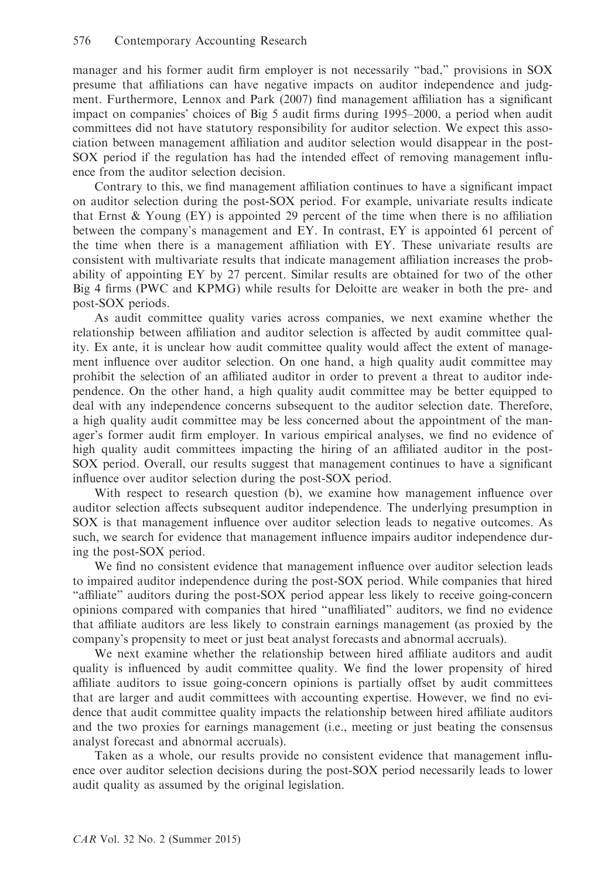manager and his former audit firm employer is not necessarily "bad," provisions in SOX presume that affiliations can have negative impacts on auditor independence and judgment. Furthermore, Lennox and Park (2007) find management affiliation has a significant impact on companies' choices of Big 5 audit firms during 1995–2000, a period when audit committees did not have statutory responsibility for auditor selection. We expect this association between management affiliation and auditor selection would disappear in the post-SOX period if the regulation has had the intended effect of removing management influence from the auditor selection decision.

Contrary to this, we find management affiliation continues to have a significant impact on auditor selection during the post-SOX period. For example, univariate results indicate that Ernst  $\&$  Young (EY) is appointed 29 percent of the time when there is no affiliation between the company's management and EY. In contrast, EY is appointed 61 percent of the time when there is a management affiliation with EY. These univariate results are consistent with multivariate results that indicate management affiliation increases the probability of appointing EY by 27 percent. Similar results are obtained for two of the other Big 4 firms (PWC and KPMG) while results for Deloitte are weaker in both the pre- and post-SOX periods.

As audit committee quality varies across companies, we next examine whether the relationship between affiliation and auditor selection is affected by audit committee quality. Ex ante, it is unclear how audit committee quality would affect the extent of management influence over auditor selection. On one hand, a high quality audit committee may prohibit the selection of an affiliated auditor in order to prevent a threat to auditor independence. On the other hand, a high quality audit committee may be better equipped to deal with any independence concerns subsequent to the auditor selection date. Therefore, a high quality audit committee may be less concerned about the appointment of the manager's former audit firm employer. In various empirical analyses, we find no evidence of high quality audit committees impacting the hiring of an affiliated auditor in the post-SOX period. Overall, our results suggest that management continues to have a significant influence over auditor selection during the post-SOX period.

With respect to research question (b), we examine how management influence over auditor selection affects subsequent auditor independence. The underlying presumption in SOX is that management influence over auditor selection leads to negative outcomes. As such, we search for evidence that management influence impairs auditor independence during the post-SOX period.

We find no consistent evidence that management influence over auditor selection leads to impaired auditor independence during the post-SOX period. While companies that hired "affiliate" auditors during the post-SOX period appear less likely to receive going-concern opinions compared with companies that hired "unaffiliated" auditors, we find no evidence that affiliate auditors are less likely to constrain earnings management (as proxied by the company's propensity to meet or just beat analyst forecasts and abnormal accruals).

We next examine whether the relationship between hired affiliate auditors and audit quality is influenced by audit committee quality. We find the lower propensity of hired affiliate auditors to issue going-concern opinions is partially offset by audit committees that are larger and audit committees with accounting expertise. However, we find no evidence that audit committee quality impacts the relationship between hired affiliate auditors and the two proxies for earnings management (i.e., meeting or just beating the consensus analyst forecast and abnormal accruals).

Taken as a whole, our results provide no consistent evidence that management influence over auditor selection decisions during the post-SOX period necessarily leads to lower audit quality as assumed by the original legislation.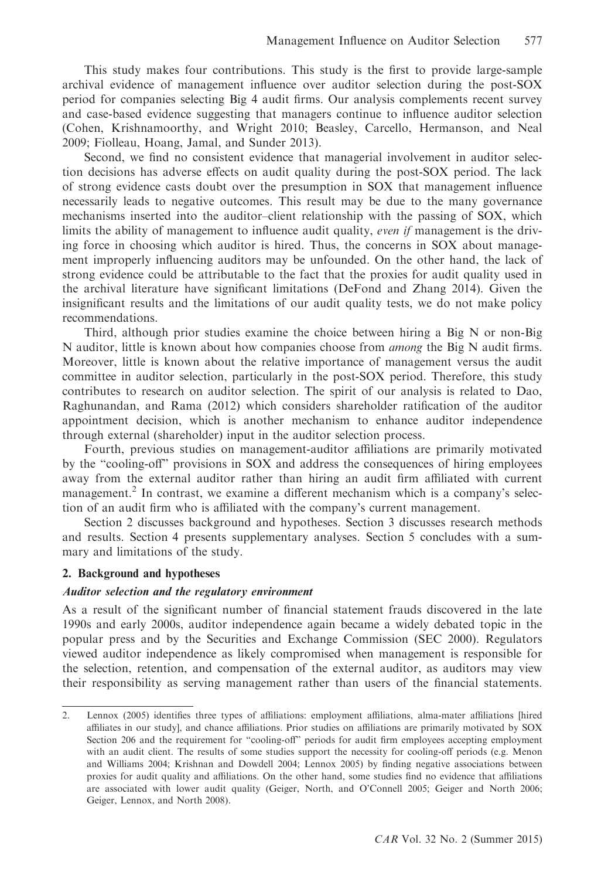This study makes four contributions. This study is the first to provide large-sample archival evidence of management influence over auditor selection during the post-SOX period for companies selecting Big 4 audit firms. Our analysis complements recent survey and case-based evidence suggesting that managers continue to influence auditor selection (Cohen, Krishnamoorthy, and Wright 2010; Beasley, Carcello, Hermanson, and Neal 2009; Fiolleau, Hoang, Jamal, and Sunder 2013).

Second, we find no consistent evidence that managerial involvement in auditor selection decisions has adverse effects on audit quality during the post-SOX period. The lack of strong evidence casts doubt over the presumption in SOX that management influence necessarily leads to negative outcomes. This result may be due to the many governance mechanisms inserted into the auditor–client relationship with the passing of SOX, which limits the ability of management to influence audit quality, *even if* management is the driving force in choosing which auditor is hired. Thus, the concerns in SOX about management improperly influencing auditors may be unfounded. On the other hand, the lack of strong evidence could be attributable to the fact that the proxies for audit quality used in the archival literature have significant limitations (DeFond and Zhang 2014). Given the insignificant results and the limitations of our audit quality tests, we do not make policy recommendations.

Third, although prior studies examine the choice between hiring a Big N or non-Big N auditor, little is known about how companies choose from among the Big N audit firms. Moreover, little is known about the relative importance of management versus the audit committee in auditor selection, particularly in the post-SOX period. Therefore, this study contributes to research on auditor selection. The spirit of our analysis is related to Dao, Raghunandan, and Rama (2012) which considers shareholder ratification of the auditor appointment decision, which is another mechanism to enhance auditor independence through external (shareholder) input in the auditor selection process.

Fourth, previous studies on management-auditor affiliations are primarily motivated by the "cooling-off" provisions in SOX and address the consequences of hiring employees away from the external auditor rather than hiring an audit firm affiliated with current management.<sup>2</sup> In contrast, we examine a different mechanism which is a company's selection of an audit firm who is affiliated with the company's current management.

Section 2 discusses background and hypotheses. Section 3 discusses research methods and results. Section 4 presents supplementary analyses. Section 5 concludes with a summary and limitations of the study.

## 2. Background and hypotheses

### Auditor selection and the regulatory environment

As a result of the significant number of financial statement frauds discovered in the late 1990s and early 2000s, auditor independence again became a widely debated topic in the popular press and by the Securities and Exchange Commission (SEC 2000). Regulators viewed auditor independence as likely compromised when management is responsible for the selection, retention, and compensation of the external auditor, as auditors may view their responsibility as serving management rather than users of the financial statements.

<sup>2.</sup> Lennox (2005) identifies three types of affiliations: employment affiliations, alma-mater affiliations [hired affiliates in our study], and chance affiliations. Prior studies on affiliations are primarily motivated by SOX Section 206 and the requirement for "cooling-off" periods for audit firm employees accepting employment with an audit client. The results of some studies support the necessity for cooling-off periods (e.g. Menon and Williams 2004; Krishnan and Dowdell 2004; Lennox 2005) by finding negative associations between proxies for audit quality and affiliations. On the other hand, some studies find no evidence that affiliations are associated with lower audit quality (Geiger, North, and O'Connell 2005; Geiger and North 2006; Geiger, Lennox, and North 2008).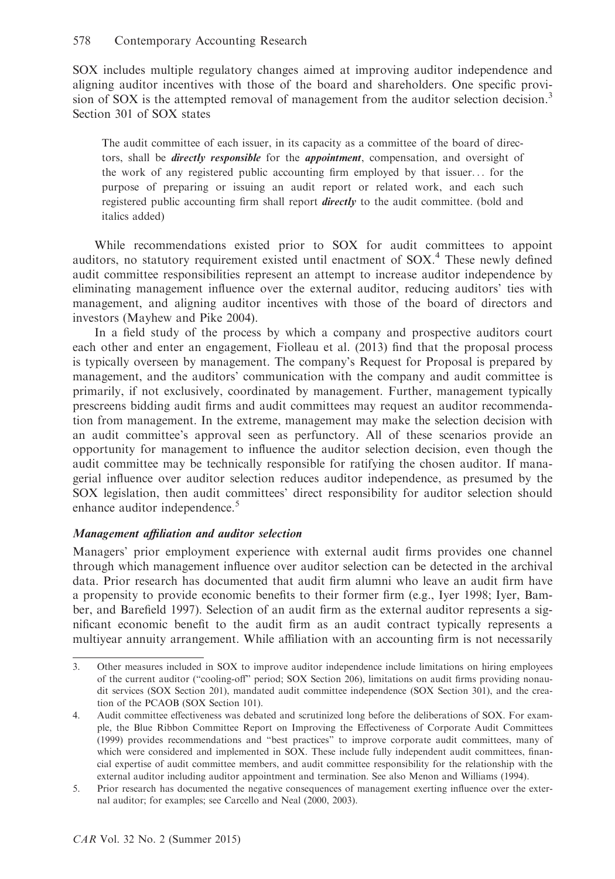SOX includes multiple regulatory changes aimed at improving auditor independence and aligning auditor incentives with those of the board and shareholders. One specific provision of SOX is the attempted removal of management from the auditor selection decision.<sup>3</sup> Section 301 of SOX states

The audit committee of each issuer, in its capacity as a committee of the board of directors, shall be *directly responsible* for the *appointment*, compensation, and oversight of the work of any registered public accounting firm employed by that issuer... for the purpose of preparing or issuing an audit report or related work, and each such registered public accounting firm shall report *directly* to the audit committee. (bold and italics added)

While recommendations existed prior to SOX for audit committees to appoint auditors, no statutory requirement existed until enactment of  $SOX<sup>4</sup>$  These newly defined audit committee responsibilities represent an attempt to increase auditor independence by eliminating management influence over the external auditor, reducing auditors' ties with management, and aligning auditor incentives with those of the board of directors and investors (Mayhew and Pike 2004).

In a field study of the process by which a company and prospective auditors court each other and enter an engagement, Fiolleau et al. (2013) find that the proposal process is typically overseen by management. The company's Request for Proposal is prepared by management, and the auditors' communication with the company and audit committee is primarily, if not exclusively, coordinated by management. Further, management typically prescreens bidding audit firms and audit committees may request an auditor recommendation from management. In the extreme, management may make the selection decision with an audit committee's approval seen as perfunctory. All of these scenarios provide an opportunity for management to influence the auditor selection decision, even though the audit committee may be technically responsible for ratifying the chosen auditor. If managerial influence over auditor selection reduces auditor independence, as presumed by the SOX legislation, then audit committees' direct responsibility for auditor selection should enhance auditor independence.<sup>5</sup>

# Management affiliation and auditor selection

Managers' prior employment experience with external audit firms provides one channel through which management influence over auditor selection can be detected in the archival data. Prior research has documented that audit firm alumni who leave an audit firm have a propensity to provide economic benefits to their former firm (e.g., Iyer 1998; Iyer, Bamber, and Barefield 1997). Selection of an audit firm as the external auditor represents a significant economic benefit to the audit firm as an audit contract typically represents a multiyear annuity arrangement. While affiliation with an accounting firm is not necessarily

<sup>3.</sup> Other measures included in SOX to improve auditor independence include limitations on hiring employees of the current auditor ("cooling-off" period; SOX Section 206), limitations on audit firms providing nonaudit services (SOX Section 201), mandated audit committee independence (SOX Section 301), and the creation of the PCAOB (SOX Section 101).

<sup>4.</sup> Audit committee effectiveness was debated and scrutinized long before the deliberations of SOX. For example, the Blue Ribbon Committee Report on Improving the Effectiveness of Corporate Audit Committees (1999) provides recommendations and "best practices" to improve corporate audit committees, many of which were considered and implemented in SOX. These include fully independent audit committees, financial expertise of audit committee members, and audit committee responsibility for the relationship with the external auditor including auditor appointment and termination. See also Menon and Williams (1994).

<sup>5.</sup> Prior research has documented the negative consequences of management exerting influence over the external auditor; for examples; see Carcello and Neal (2000, 2003).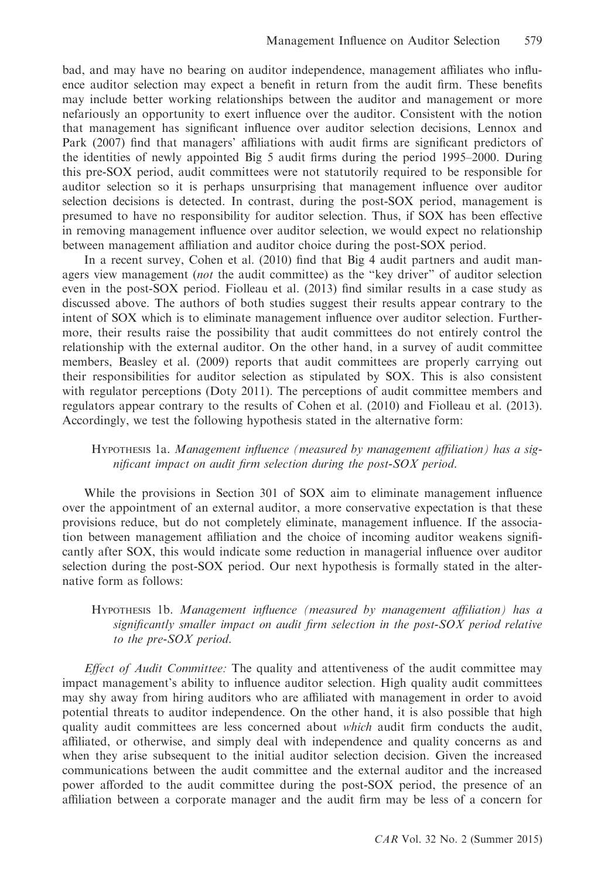bad, and may have no bearing on auditor independence, management affiliates who influence auditor selection may expect a benefit in return from the audit firm. These benefits may include better working relationships between the auditor and management or more nefariously an opportunity to exert influence over the auditor. Consistent with the notion that management has significant influence over auditor selection decisions, Lennox and Park (2007) find that managers' affiliations with audit firms are significant predictors of the identities of newly appointed Big 5 audit firms during the period 1995–2000. During this pre-SOX period, audit committees were not statutorily required to be responsible for auditor selection so it is perhaps unsurprising that management influence over auditor selection decisions is detected. In contrast, during the post-SOX period, management is presumed to have no responsibility for auditor selection. Thus, if SOX has been effective in removing management influence over auditor selection, we would expect no relationship between management affiliation and auditor choice during the post-SOX period.

In a recent survey, Cohen et al. (2010) find that Big 4 audit partners and audit managers view management (not the audit committee) as the "key driver" of auditor selection even in the post-SOX period. Fiolleau et al. (2013) find similar results in a case study as discussed above. The authors of both studies suggest their results appear contrary to the intent of SOX which is to eliminate management influence over auditor selection. Furthermore, their results raise the possibility that audit committees do not entirely control the relationship with the external auditor. On the other hand, in a survey of audit committee members, Beasley et al. (2009) reports that audit committees are properly carrying out their responsibilities for auditor selection as stipulated by SOX. This is also consistent with regulator perceptions (Doty 2011). The perceptions of audit committee members and regulators appear contrary to the results of Cohen et al. (2010) and Fiolleau et al. (2013). Accordingly, we test the following hypothesis stated in the alternative form:

# HYPOTHESIS 1a. Management influence (measured by management affiliation) has a significant impact on audit firm selection during the post-SOX period.

While the provisions in Section 301 of SOX aim to eliminate management influence over the appointment of an external auditor, a more conservative expectation is that these provisions reduce, but do not completely eliminate, management influence. If the association between management affiliation and the choice of incoming auditor weakens significantly after SOX, this would indicate some reduction in managerial influence over auditor selection during the post-SOX period. Our next hypothesis is formally stated in the alternative form as follows:

# HYPOTHESIS 1b. Management influence (measured by management affiliation) has a significantly smaller impact on audit firm selection in the post-SOX period relative to the pre-SOX period.

Effect of Audit Committee: The quality and attentiveness of the audit committee may impact management's ability to influence auditor selection. High quality audit committees may shy away from hiring auditors who are affiliated with management in order to avoid potential threats to auditor independence. On the other hand, it is also possible that high quality audit committees are less concerned about which audit firm conducts the audit, affiliated, or otherwise, and simply deal with independence and quality concerns as and when they arise subsequent to the initial auditor selection decision. Given the increased communications between the audit committee and the external auditor and the increased power afforded to the audit committee during the post-SOX period, the presence of an affiliation between a corporate manager and the audit firm may be less of a concern for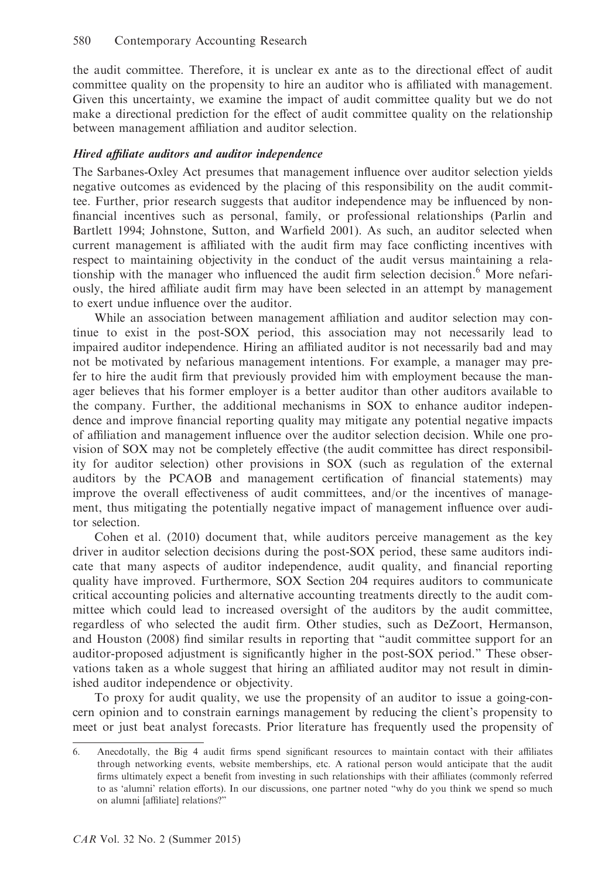the audit committee. Therefore, it is unclear ex ante as to the directional effect of audit committee quality on the propensity to hire an auditor who is affiliated with management. Given this uncertainty, we examine the impact of audit committee quality but we do not make a directional prediction for the effect of audit committee quality on the relationship between management affiliation and auditor selection.

# Hired affiliate auditors and auditor independence

The Sarbanes-Oxley Act presumes that management influence over auditor selection yields negative outcomes as evidenced by the placing of this responsibility on the audit committee. Further, prior research suggests that auditor independence may be influenced by nonfinancial incentives such as personal, family, or professional relationships (Parlin and Bartlett 1994; Johnstone, Sutton, and Warfield 2001). As such, an auditor selected when current management is affiliated with the audit firm may face conflicting incentives with respect to maintaining objectivity in the conduct of the audit versus maintaining a relationship with the manager who influenced the audit firm selection decision.<sup>6</sup> More nefariously, the hired affiliate audit firm may have been selected in an attempt by management to exert undue influence over the auditor.

While an association between management affiliation and auditor selection may continue to exist in the post-SOX period, this association may not necessarily lead to impaired auditor independence. Hiring an affiliated auditor is not necessarily bad and may not be motivated by nefarious management intentions. For example, a manager may prefer to hire the audit firm that previously provided him with employment because the manager believes that his former employer is a better auditor than other auditors available to the company. Further, the additional mechanisms in SOX to enhance auditor independence and improve financial reporting quality may mitigate any potential negative impacts of affiliation and management influence over the auditor selection decision. While one provision of SOX may not be completely effective (the audit committee has direct responsibility for auditor selection) other provisions in SOX (such as regulation of the external auditors by the PCAOB and management certification of financial statements) may improve the overall effectiveness of audit committees, and/or the incentives of management, thus mitigating the potentially negative impact of management influence over auditor selection.

Cohen et al. (2010) document that, while auditors perceive management as the key driver in auditor selection decisions during the post-SOX period, these same auditors indicate that many aspects of auditor independence, audit quality, and financial reporting quality have improved. Furthermore, SOX Section 204 requires auditors to communicate critical accounting policies and alternative accounting treatments directly to the audit committee which could lead to increased oversight of the auditors by the audit committee, regardless of who selected the audit firm. Other studies, such as DeZoort, Hermanson, and Houston (2008) find similar results in reporting that "audit committee support for an auditor-proposed adjustment is significantly higher in the post-SOX period." These observations taken as a whole suggest that hiring an affiliated auditor may not result in diminished auditor independence or objectivity.

To proxy for audit quality, we use the propensity of an auditor to issue a going-concern opinion and to constrain earnings management by reducing the client's propensity to meet or just beat analyst forecasts. Prior literature has frequently used the propensity of

<sup>6.</sup> Anecdotally, the Big 4 audit firms spend significant resources to maintain contact with their affiliates through networking events, website memberships, etc. A rational person would anticipate that the audit firms ultimately expect a benefit from investing in such relationships with their affiliates (commonly referred to as 'alumni' relation efforts). In our discussions, one partner noted "why do you think we spend so much on alumni [affiliate] relations?"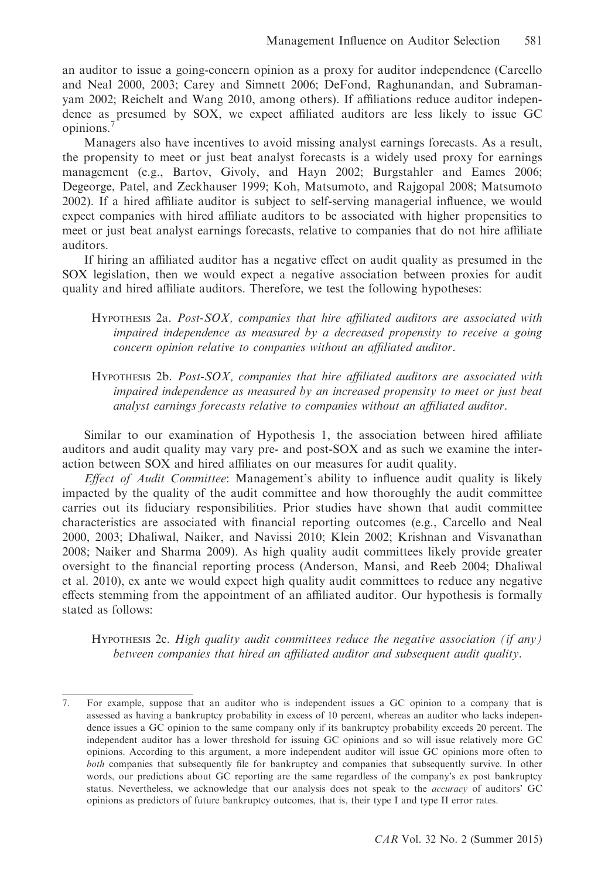an auditor to issue a going-concern opinion as a proxy for auditor independence (Carcello and Neal 2000, 2003; Carey and Simnett 2006; DeFond, Raghunandan, and Subramanyam 2002; Reichelt and Wang 2010, among others). If affiliations reduce auditor independence as presumed by SOX, we expect affiliated auditors are less likely to issue GC opinions.

Managers also have incentives to avoid missing analyst earnings forecasts. As a result, the propensity to meet or just beat analyst forecasts is a widely used proxy for earnings management (e.g., Bartov, Givoly, and Hayn 2002; Burgstahler and Eames 2006; Degeorge, Patel, and Zeckhauser 1999; Koh, Matsumoto, and Rajgopal 2008; Matsumoto 2002). If a hired affiliate auditor is subject to self-serving managerial influence, we would expect companies with hired affiliate auditors to be associated with higher propensities to meet or just beat analyst earnings forecasts, relative to companies that do not hire affiliate auditors.

If hiring an affiliated auditor has a negative effect on audit quality as presumed in the SOX legislation, then we would expect a negative association between proxies for audit quality and hired affiliate auditors. Therefore, we test the following hypotheses:

HYPOTHESIS 2a. Post- $SOX$ , companies that hire affiliated auditors are associated with impaired independence as measured by a decreased propensity to receive a going concern opinion relative to companies without an affiliated auditor.

HYPOTHESIS 2b. Post-SOX, companies that hire affiliated auditors are associated with impaired independence as measured by an increased propensity to meet or just beat analyst earnings forecasts relative to companies without an affiliated auditor.

Similar to our examination of Hypothesis 1, the association between hired affiliate auditors and audit quality may vary pre- and post-SOX and as such we examine the interaction between SOX and hired affiliates on our measures for audit quality.

Effect of Audit Committee: Management's ability to influence audit quality is likely impacted by the quality of the audit committee and how thoroughly the audit committee carries out its fiduciary responsibilities. Prior studies have shown that audit committee characteristics are associated with financial reporting outcomes (e.g., Carcello and Neal 2000, 2003; Dhaliwal, Naiker, and Navissi 2010; Klein 2002; Krishnan and Visvanathan 2008; Naiker and Sharma 2009). As high quality audit committees likely provide greater oversight to the financial reporting process (Anderson, Mansi, and Reeb 2004; Dhaliwal et al. 2010), ex ante we would expect high quality audit committees to reduce any negative effects stemming from the appointment of an affiliated auditor. Our hypothesis is formally stated as follows:

HYPOTHESIS 2c. High quality audit committees reduce the negative association (if any) between companies that hired an affiliated auditor and subsequent audit quality.

<sup>7.</sup> For example, suppose that an auditor who is independent issues a GC opinion to a company that is assessed as having a bankruptcy probability in excess of 10 percent, whereas an auditor who lacks independence issues a GC opinion to the same company only if its bankruptcy probability exceeds 20 percent. The independent auditor has a lower threshold for issuing GC opinions and so will issue relatively more GC opinions. According to this argument, a more independent auditor will issue GC opinions more often to both companies that subsequently file for bankruptcy and companies that subsequently survive. In other words, our predictions about GC reporting are the same regardless of the company's ex post bankruptcy status. Nevertheless, we acknowledge that our analysis does not speak to the accuracy of auditors' GC opinions as predictors of future bankruptcy outcomes, that is, their type I and type II error rates.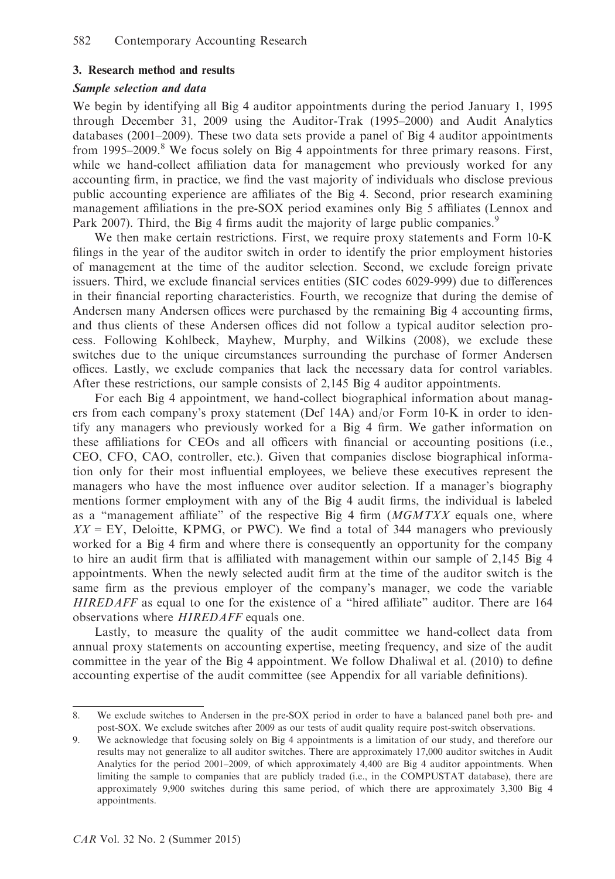## 3. Research method and results

## Sample selection and data

We begin by identifying all Big 4 auditor appointments during the period January 1, 1995 through December 31, 2009 using the Auditor-Trak (1995–2000) and Audit Analytics databases (2001–2009). These two data sets provide a panel of Big 4 auditor appointments from  $1995-2009$ .<sup>8</sup> We focus solely on Big 4 appointments for three primary reasons. First, while we hand-collect affiliation data for management who previously worked for any accounting firm, in practice, we find the vast majority of individuals who disclose previous public accounting experience are affiliates of the Big 4. Second, prior research examining management affiliations in the pre-SOX period examines only Big 5 affiliates (Lennox and Park 2007). Third, the Big 4 firms audit the majority of large public companies.<sup>9</sup>

We then make certain restrictions. First, we require proxy statements and Form 10-K filings in the year of the auditor switch in order to identify the prior employment histories of management at the time of the auditor selection. Second, we exclude foreign private issuers. Third, we exclude financial services entities (SIC codes 6029-999) due to differences in their financial reporting characteristics. Fourth, we recognize that during the demise of Andersen many Andersen offices were purchased by the remaining Big 4 accounting firms, and thus clients of these Andersen offices did not follow a typical auditor selection process. Following Kohlbeck, Mayhew, Murphy, and Wilkins (2008), we exclude these switches due to the unique circumstances surrounding the purchase of former Andersen offices. Lastly, we exclude companies that lack the necessary data for control variables. After these restrictions, our sample consists of 2,145 Big 4 auditor appointments.

For each Big 4 appointment, we hand-collect biographical information about managers from each company's proxy statement (Def 14A) and/or Form 10-K in order to identify any managers who previously worked for a Big 4 firm. We gather information on these affiliations for CEOs and all officers with financial or accounting positions (i.e., CEO, CFO, CAO, controller, etc.). Given that companies disclose biographical information only for their most influential employees, we believe these executives represent the managers who have the most influence over auditor selection. If a manager's biography mentions former employment with any of the Big 4 audit firms, the individual is labeled as a "management affiliate" of the respective Big 4 firm  $(MGMTXX)$  equals one, where  $XX = EY$ , Deloitte, KPMG, or PWC). We find a total of 344 managers who previously worked for a Big 4 firm and where there is consequently an opportunity for the company to hire an audit firm that is affiliated with management within our sample of 2,145 Big 4 appointments. When the newly selected audit firm at the time of the auditor switch is the same firm as the previous employer of the company's manager, we code the variable HIREDAFF as equal to one for the existence of a "hired affiliate" auditor. There are 164 observations where HIREDAFF equals one.

Lastly, to measure the quality of the audit committee we hand-collect data from annual proxy statements on accounting expertise, meeting frequency, and size of the audit committee in the year of the Big 4 appointment. We follow Dhaliwal et al. (2010) to define accounting expertise of the audit committee (see Appendix for all variable definitions).

<sup>8.</sup> We exclude switches to Andersen in the pre-SOX period in order to have a balanced panel both pre- and post-SOX. We exclude switches after 2009 as our tests of audit quality require post-switch observations.

<sup>9.</sup> We acknowledge that focusing solely on Big 4 appointments is a limitation of our study, and therefore our results may not generalize to all auditor switches. There are approximately 17,000 auditor switches in Audit Analytics for the period 2001–2009, of which approximately 4,400 are Big 4 auditor appointments. When limiting the sample to companies that are publicly traded (i.e., in the COMPUSTAT database), there are approximately 9,900 switches during this same period, of which there are approximately 3,300 Big 4 appointments.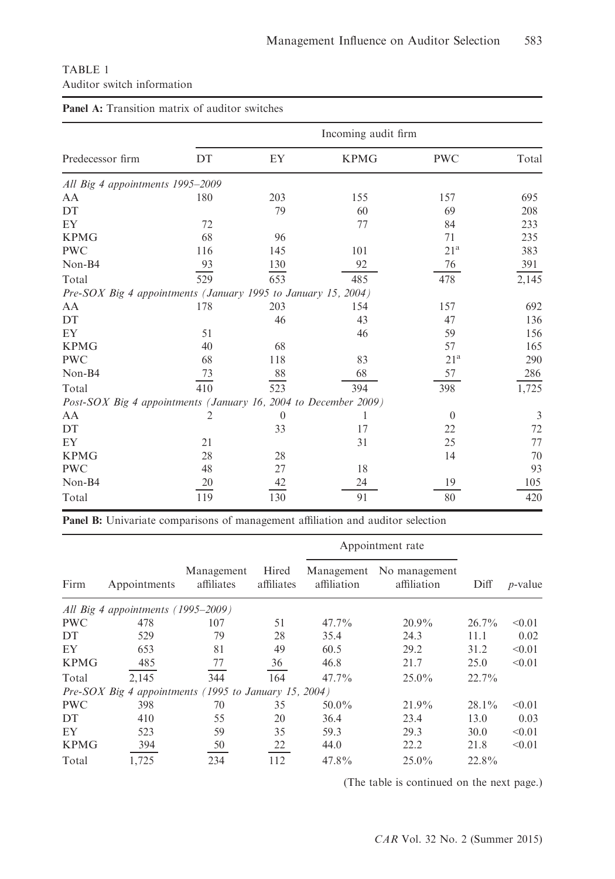|                                                                 |                  |          | Incoming audit firm |                 |        |
|-----------------------------------------------------------------|------------------|----------|---------------------|-----------------|--------|
| Predecessor firm                                                | DT               | EY       | <b>KPMG</b>         | <b>PWC</b>      | Total  |
| All Big 4 appointments 1995-2009                                |                  |          |                     |                 |        |
| AA                                                              | 180              | 203      | 155                 | 157             | 695    |
| DT                                                              |                  | 79       | 60                  | 69              | 208    |
| EY                                                              | 72               |          | 77                  | 84              | 233    |
| <b>KPMG</b>                                                     | 68               | 96       |                     | 71              | 235    |
| <b>PWC</b>                                                      | 116              | 145      | 101                 | 21 <sup>a</sup> | 383    |
| Non-B4                                                          | $\frac{93}{5}$   | 130      | 92                  | 76              | 391    |
| Total                                                           | $\overline{529}$ | 653      | 485                 | 478             | 2,145  |
| Pre-SOX Big 4 appointments (January 1995 to January 15, 2004)   |                  |          |                     |                 |        |
| AA                                                              | 178              | 203      | 154                 | 157             | 692    |
| $\mathop{\rm DT}\nolimits$                                      |                  | 46       | 43                  | 47              | 136    |
| EY                                                              | 51               |          | 46                  | 59              | 156    |
| <b>KPMG</b>                                                     | 40               | 68       |                     | 57              | 165    |
| <b>PWC</b>                                                      | 68               | 118      | 83                  | 21 <sup>a</sup> | 290    |
| Non-B4                                                          | 73               | 88       | 68                  | 57              | 286    |
| Total                                                           | 410              | 523      | 394                 | 398             | 1,725  |
| Post-SOX Big 4 appointments (January 16, 2004 to December 2009) |                  |          |                     |                 |        |
| AA                                                              | 2                | $\theta$ | 1                   | $\theta$        | 3      |
| DT                                                              |                  | 33       | 17                  | 22              | $72\,$ |
| EY                                                              | 21               |          | 31                  | 25              | 77     |
| <b>KPMG</b>                                                     | 28               | 28       |                     | 14              | 70     |
| <b>PWC</b>                                                      | 48               | 27       | 18                  |                 | 93     |
| Non-B4                                                          | 20               | 42       | 24                  | 19              | 105    |
| Total                                                           | 119              | 130      | 91                  | 80              | 420    |

# TABLE 1 Auditor switch information

Panel A: Transition matrix of auditor switches

Panel B: Univariate comparisons of management affiliation and auditor selection

|             |                                                       |                          |                     |             | Appointment rate                        |          |                 |
|-------------|-------------------------------------------------------|--------------------------|---------------------|-------------|-----------------------------------------|----------|-----------------|
| Firm        | Appointments                                          | Management<br>affiliates | Hired<br>affiliates | affiliation | Management No management<br>affiliation | Diff     | <i>p</i> -value |
|             | All Big 4 appointments (1995–2009)                    |                          |                     |             |                                         |          |                 |
| <b>PWC</b>  | 478                                                   | 107                      | 51                  | $47.7\%$    | $20.9\%$                                | $26.7\%$ | < 0.01          |
| DT          | 529                                                   | 79                       | 28                  | 35.4        | 24.3                                    | 11.1     | 0.02            |
| EY          | 653                                                   | 81                       | 49                  | 60.5        | 29.2                                    | 31.2     | < 0.01          |
| <b>KPMG</b> | 485                                                   | 77                       | 36                  | 46.8        | 21.7                                    | 25.0     | < 0.01          |
| Total       | 2.145                                                 | 344                      | 164                 | $47.7\%$    | $25.0\%$                                | $22.7\%$ |                 |
|             | Pre-SOX Big 4 appointments (1995 to January 15, 2004) |                          |                     |             |                                         |          |                 |
| <b>PWC</b>  | 398                                                   | 70                       | 35                  | $50.0\%$    | 21.9%                                   | $28.1\%$ | < 0.01          |
| DT          | 410                                                   | 55                       | 20                  | 36.4        | 23.4                                    | 13.0     | 0.03            |
| EY          | 523                                                   | 59                       | 35                  | 59.3        | 29.3                                    | 30.0     | < 0.01          |
| <b>KPMG</b> | 394                                                   | $\frac{50}{50}$          | $\frac{22}{1}$      | 44.0        | 22.2                                    | 21.8     | < 0.01          |
| Total       | 1.725                                                 | 234                      | 112                 | $47.8\%$    | $25.0\%$                                | $22.8\%$ |                 |

(The table is continued on the next page.)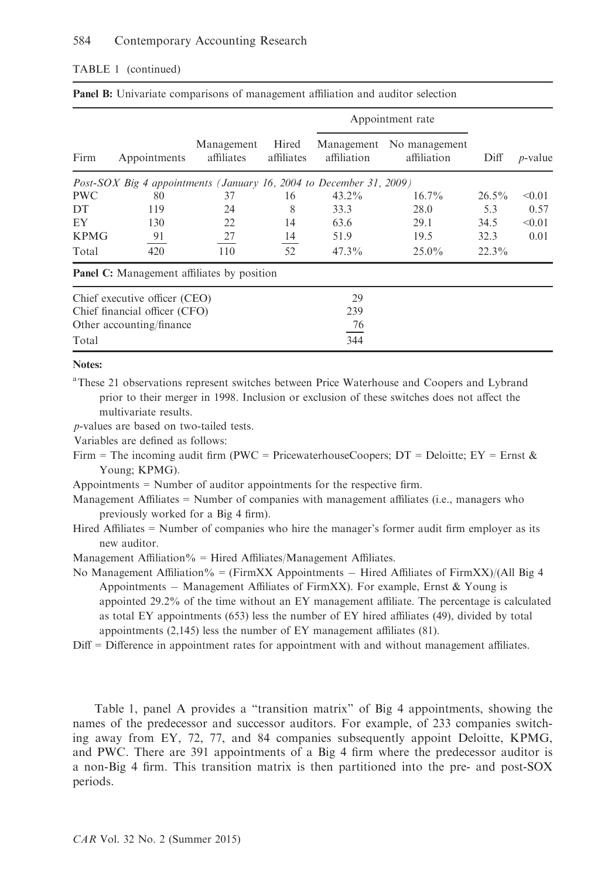|             |                                                                     |                          |                     |             | Appointment rate                        |          |            |
|-------------|---------------------------------------------------------------------|--------------------------|---------------------|-------------|-----------------------------------------|----------|------------|
| Firm        | Appointments                                                        | Management<br>affiliates | Hired<br>affiliates | affiliation | Management No management<br>affiliation | Diff     | $p$ -value |
|             | Post-SOX Big 4 appointments (January 16, 2004 to December 31, 2009) |                          |                     |             |                                         |          |            |
| <b>PWC</b>  | 80                                                                  | 37                       | 16                  | $43.2\%$    | $16.7\%$                                | $26.5\%$ | < 0.01     |
| DT          | 119                                                                 | 24                       | 8                   | 33.3        | 28.0                                    | 5.3      | 0.57       |
| EY          | 130                                                                 | 22                       | 14                  | 63.6        | 29.1                                    | 34.5     | < 0.01     |
| <b>KPMG</b> | 91                                                                  | 27                       | $\frac{14}{1}$      | 51.9        | 19.5                                    | 32.3     | 0.01       |
| Total       | 420                                                                 | 110                      | 52                  | $47.3\%$    | $25.0\%$                                | $22.3\%$ |            |
|             | <b>Panel C:</b> Management affiliates by position                   |                          |                     |             |                                         |          |            |
|             | Chief executive officer (CEO)                                       |                          |                     | 29          |                                         |          |            |
|             | Chief financial officer (CFO)                                       |                          |                     | 239         |                                         |          |            |
|             | Other accounting/finance                                            |                          |                     | 76          |                                         |          |            |
| Total       |                                                                     |                          |                     | 344         |                                         |          |            |

| TABLE 1 | (continued) |
|---------|-------------|
|---------|-------------|

|  |  |  |  |  | <b>Panel B:</b> Univariate comparisons of management affiliation and auditor selection |  |  |  |  |
|--|--|--|--|--|----------------------------------------------------------------------------------------|--|--|--|--|
|--|--|--|--|--|----------------------------------------------------------------------------------------|--|--|--|--|

Notes:

<sup>a</sup>These 21 observations represent switches between Price Waterhouse and Coopers and Lybrand prior to their merger in 1998. Inclusion or exclusion of these switches does not affect the multivariate results.

p-values are based on two-tailed tests.

Variables are defined as follows:

- Firm = The incoming audit firm (PWC = PricewaterhouseCoopers;  $DT =$  Deloitte;  $EY =$  Ernst & Young; KPMG).
- Appointments = Number of auditor appointments for the respective firm.

Management Affiliates = Number of companies with management affiliates (i.e., managers who previously worked for a Big 4 firm).

Hired Affiliates = Number of companies who hire the manager's former audit firm employer as its new auditor.

Management Affiliation% = Hired Affiliates/Management Affiliates.

No Management Affiliation% = (FirmXX Appointments  $-$  Hired Affiliates of FirmXX)/(All Big 4 Appointments - Management Affiliates of FirmXX). For example, Ernst & Young is appointed 29.2% of the time without an EY management affiliate. The percentage is calculated as total EY appointments (653) less the number of EY hired affiliates (49), divided by total appointments (2,145) less the number of EY management affiliates (81).

Diff = Difference in appointment rates for appointment with and without management affiliates.

Table 1, panel A provides a "transition matrix" of Big 4 appointments, showing the names of the predecessor and successor auditors. For example, of 233 companies switching away from EY, 72, 77, and 84 companies subsequently appoint Deloitte, KPMG, and PWC. There are 391 appointments of a Big 4 firm where the predecessor auditor is a non-Big 4 firm. This transition matrix is then partitioned into the pre- and post-SOX periods.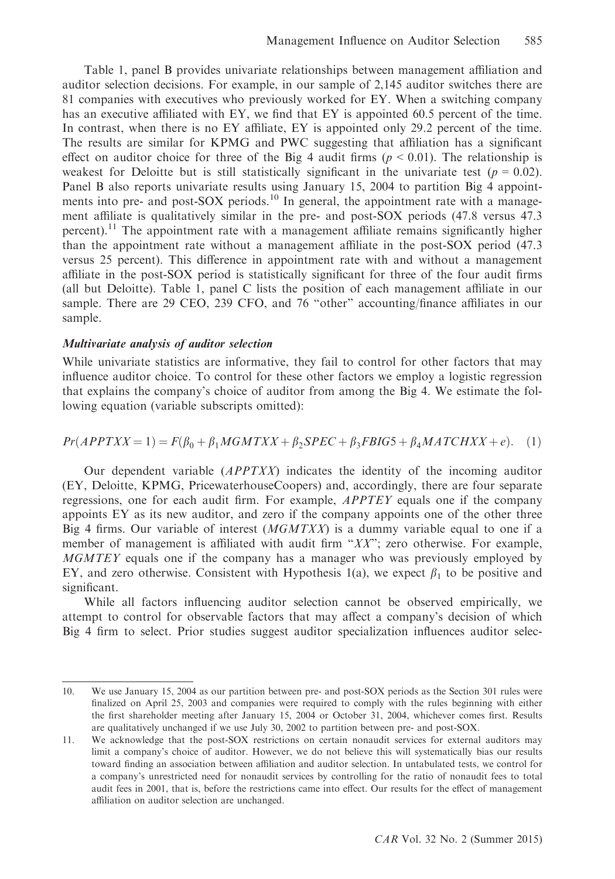Table 1, panel B provides univariate relationships between management affiliation and auditor selection decisions. For example, in our sample of 2,145 auditor switches there are 81 companies with executives who previously worked for EY. When a switching company has an executive affiliated with EY, we find that EY is appointed 60.5 percent of the time. In contrast, when there is no EY affiliate, EY is appointed only 29.2 percent of the time. The results are similar for KPMG and PWC suggesting that affiliation has a significant effect on auditor choice for three of the Big 4 audit firms ( $p < 0.01$ ). The relationship is weakest for Deloitte but is still statistically significant in the univariate test ( $p = 0.02$ ). Panel B also reports univariate results using January 15, 2004 to partition Big 4 appointments into pre- and post-SOX periods.<sup>10</sup> In general, the appointment rate with a management affiliate is qualitatively similar in the pre- and post-SOX periods (47.8 versus 47.3 percent).<sup>11</sup> The appointment rate with a management affiliate remains significantly higher than the appointment rate without a management affiliate in the post-SOX period (47.3 versus 25 percent). This difference in appointment rate with and without a management affiliate in the post-SOX period is statistically significant for three of the four audit firms (all but Deloitte). Table 1, panel C lists the position of each management affiliate in our sample. There are 29 CEO, 239 CFO, and 76 "other" accounting/finance affiliates in our sample.

## Multivariate analysis of auditor selection

While univariate statistics are informative, they fail to control for other factors that may influence auditor choice. To control for these other factors we employ a logistic regression that explains the company's choice of auditor from among the Big 4. We estimate the following equation (variable subscripts omitted):

## $Pr(APPTXX = 1) = F(\beta_0 + \beta_1 MGMTXX + \beta_2 SPEC + \beta_3FBIG5 + \beta_4 MATCHXX + e).$  (1)

Our dependent variable (APPTXX) indicates the identity of the incoming auditor (EY, Deloitte, KPMG, PricewaterhouseCoopers) and, accordingly, there are four separate regressions, one for each audit firm. For example, APPTEY equals one if the company appoints EY as its new auditor, and zero if the company appoints one of the other three Big 4 firms. Our variable of interest  $(MG M T X X)$  is a dummy variable equal to one if a member of management is affiliated with audit firm " $XX$ "; zero otherwise. For example, MGMTEY equals one if the company has a manager who was previously employed by EY, and zero otherwise. Consistent with Hypothesis 1(a), we expect  $\beta_1$  to be positive and significant.

While all factors influencing auditor selection cannot be observed empirically, we attempt to control for observable factors that may affect a company's decision of which Big 4 firm to select. Prior studies suggest auditor specialization influences auditor selec-

<sup>10.</sup> We use January 15, 2004 as our partition between pre- and post-SOX periods as the Section 301 rules were finalized on April 25, 2003 and companies were required to comply with the rules beginning with either the first shareholder meeting after January 15, 2004 or October 31, 2004, whichever comes first. Results are qualitatively unchanged if we use July 30, 2002 to partition between pre- and post-SOX.

<sup>11.</sup> We acknowledge that the post-SOX restrictions on certain nonaudit services for external auditors may limit a company's choice of auditor. However, we do not believe this will systematically bias our results toward finding an association between affiliation and auditor selection. In untabulated tests, we control for a company's unrestricted need for nonaudit services by controlling for the ratio of nonaudit fees to total audit fees in 2001, that is, before the restrictions came into effect. Our results for the effect of management affiliation on auditor selection are unchanged.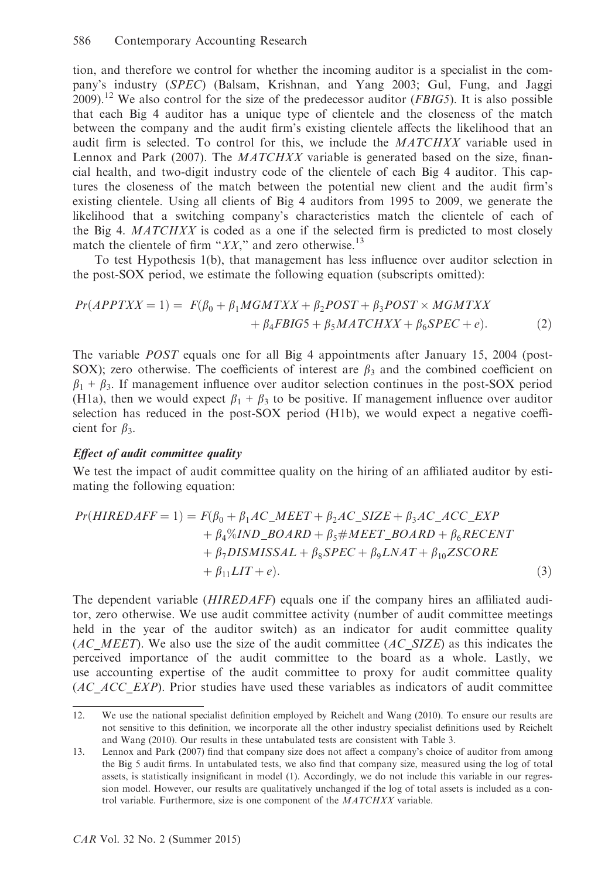tion, and therefore we control for whether the incoming auditor is a specialist in the company's industry (SPEC) (Balsam, Krishnan, and Yang 2003; Gul, Fung, and Jaggi  $2009$ .<sup>12</sup> We also control for the size of the predecessor auditor (*FBIG5*). It is also possible that each Big 4 auditor has a unique type of clientele and the closeness of the match between the company and the audit firm's existing clientele affects the likelihood that an audit firm is selected. To control for this, we include the MATCHXX variable used in Lennox and Park (2007). The  $MATCHXX$  variable is generated based on the size, financial health, and two-digit industry code of the clientele of each Big 4 auditor. This captures the closeness of the match between the potential new client and the audit firm's existing clientele. Using all clients of Big 4 auditors from 1995 to 2009, we generate the likelihood that a switching company's characteristics match the clientele of each of the Big 4. MATCHXX is coded as a one if the selected firm is predicted to most closely match the clientele of firm " $XX$ ", and zero otherwise.<sup>13</sup>

To test Hypothesis 1(b), that management has less influence over auditor selection in the post-SOX period, we estimate the following equation (subscripts omitted):

$$
Pr(APPTXX = 1) = F(\beta_0 + \beta_1 MGMTXX + \beta_2 POST + \beta_3 POST \times MGMTXX + \beta_4FBIG5 + \beta_5 MATCHXX + \beta_6 SPEC + e).
$$
 (2)

The variable POST equals one for all Big 4 appointments after January 15, 2004 (post-SOX); zero otherwise. The coefficients of interest are  $\beta_3$  and the combined coefficient on  $\beta_1$  +  $\beta_3$ . If management influence over auditor selection continues in the post-SOX period (H1a), then we would expect  $\beta_1 + \beta_3$  to be positive. If management influence over auditor selection has reduced in the post-SOX period (H1b), we would expect a negative coefficient for  $\beta_3$ .

## Effect of audit committee quality

We test the impact of audit committee quality on the hiring of an affiliated auditor by estimating the following equation:

$$
Pr(HIREDAFF = 1) = F(\beta_0 + \beta_1 AC\_MEET + \beta_2 AC\_SIZE + \beta_3 AC\_ACC\_EXP + \beta_4 \% IND\_BOARD + \beta_5 \# MET\_BOARD + \beta_6 RECENT + \beta_7 DISMISSAL + \beta_8 SPEC + \beta_9 LNAT + \beta_{10} ZSCORE + \beta_{11} LIT + e).
$$
\n(3)

The dependent variable *(HIREDAFF)* equals one if the company hires an affiliated auditor, zero otherwise. We use audit committee activity (number of audit committee meetings held in the year of the auditor switch) as an indicator for audit committee quality ( $AC$  MEET). We also use the size of the audit committee ( $AC$  SIZE) as this indicates the perceived importance of the audit committee to the board as a whole. Lastly, we use accounting expertise of the audit committee to proxy for audit committee quality  $(AC\, ACC\, EXP)$ . Prior studies have used these variables as indicators of audit committee

<sup>12.</sup> We use the national specialist definition employed by Reichelt and Wang (2010). To ensure our results are not sensitive to this definition, we incorporate all the other industry specialist definitions used by Reichelt and Wang (2010). Our results in these untabulated tests are consistent with Table 3.

<sup>13.</sup> Lennox and Park (2007) find that company size does not affect a company's choice of auditor from among the Big 5 audit firms. In untabulated tests, we also find that company size, measured using the log of total assets, is statistically insignificant in model (1). Accordingly, we do not include this variable in our regression model. However, our results are qualitatively unchanged if the log of total assets is included as a control variable. Furthermore, size is one component of the MATCHXX variable.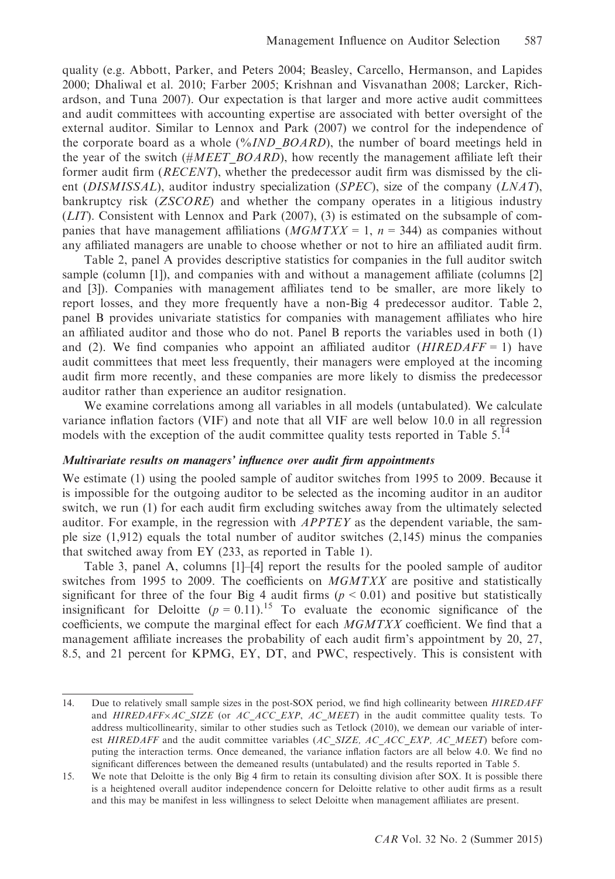quality (e.g. Abbott, Parker, and Peters 2004; Beasley, Carcello, Hermanson, and Lapides 2000; Dhaliwal et al. 2010; Farber 2005; Krishnan and Visvanathan 2008; Larcker, Richardson, and Tuna 2007). Our expectation is that larger and more active audit committees and audit committees with accounting expertise are associated with better oversight of the external auditor. Similar to Lennox and Park (2007) we control for the independence of the corporate board as a whole (%IND BOARD), the number of board meetings held in the year of the switch  $(HMEET_BOARD)$ , how recently the management affiliate left their former audit firm (RECENT), whether the predecessor audit firm was dismissed by the client (DISMISSAL), auditor industry specialization (SPEC), size of the company (LNAT), bankruptcy risk (ZSCORE) and whether the company operates in a litigious industry (LIT). Consistent with Lennox and Park (2007), (3) is estimated on the subsample of companies that have management affiliations ( $MGMTXX = 1$ ,  $n = 344$ ) as companies without any affiliated managers are unable to choose whether or not to hire an affiliated audit firm.

Table 2, panel A provides descriptive statistics for companies in the full auditor switch sample (column [1]), and companies with and without a management affiliate (columns [2] and [3]). Companies with management affiliates tend to be smaller, are more likely to report losses, and they more frequently have a non-Big 4 predecessor auditor. Table 2, panel B provides univariate statistics for companies with management affiliates who hire an affiliated auditor and those who do not. Panel B reports the variables used in both (1) and (2). We find companies who appoint an affiliated auditor  $(HIREDAFF = 1)$  have audit committees that meet less frequently, their managers were employed at the incoming audit firm more recently, and these companies are more likely to dismiss the predecessor auditor rather than experience an auditor resignation.

We examine correlations among all variables in all models (untabulated). We calculate variance inflation factors (VIF) and note that all VIF are well below 10.0 in all regression models with the exception of the audit committee quality tests reported in Table 5.<sup>14</sup>

#### Multivariate results on managers' influence over audit firm appointments

We estimate (1) using the pooled sample of auditor switches from 1995 to 2009. Because it is impossible for the outgoing auditor to be selected as the incoming auditor in an auditor switch, we run (1) for each audit firm excluding switches away from the ultimately selected auditor. For example, in the regression with APPTEY as the dependent variable, the sample size (1,912) equals the total number of auditor switches (2,145) minus the companies that switched away from EY (233, as reported in Table 1).

Table 3, panel A, columns [1]–[4] report the results for the pooled sample of auditor switches from 1995 to 2009. The coefficients on  $MGMTXX$  are positive and statistically significant for three of the four Big 4 audit firms ( $p < 0.01$ ) and positive but statistically insignificant for Deloitte  $(p = 0.11)$ .<sup>15</sup> To evaluate the economic significance of the coefficients, we compute the marginal effect for each MGMTXX coefficient. We find that a management affiliate increases the probability of each audit firm's appointment by 20, 27, 8.5, and 21 percent for KPMG, EY, DT, and PWC, respectively. This is consistent with

<sup>14.</sup> Due to relatively small sample sizes in the post-SOX period, we find high collinearity between HIREDAFF and  $HIREDAFF \times AC\_SIZE$  (or  $AC\_ACC\_EXP$ ,  $AC\_MEET$ ) in the audit committee quality tests. To address multicollinearity, similar to other studies such as Tetlock (2010), we demean our variable of interest HIREDAFF and the audit committee variables (AC\_SIZE, AC\_ACC\_EXP, AC\_MEET) before computing the interaction terms. Once demeaned, the variance inflation factors are all below 4.0. We find no significant differences between the demeaned results (untabulated) and the results reported in Table 5.

<sup>15.</sup> We note that Deloitte is the only Big 4 firm to retain its consulting division after SOX. It is possible there is a heightened overall auditor independence concern for Deloitte relative to other audit firms as a result and this may be manifest in less willingness to select Deloitte when management affiliates are present.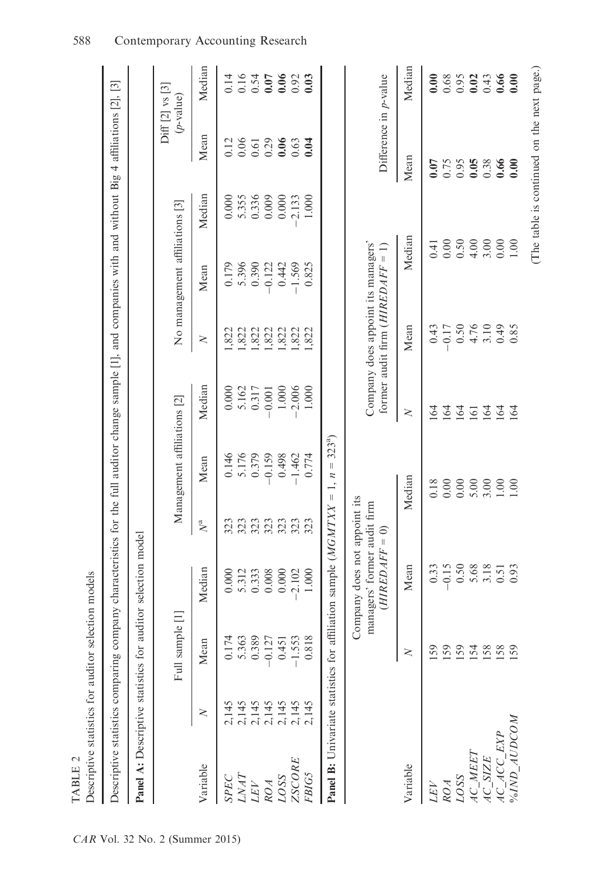| Difference in <i>p</i> -value<br>characteristics for the full auditor change sample [1], and companies with and without Big 4 affiliations [2], [3]<br>Mean<br>0.06<br>0.29<br>0.06<br>0.12<br>0.63<br>0.04<br>Mean<br>0.95<br>0.05<br>0.66<br>0.75<br>0.07<br>0.38<br>Median<br>5.355<br>0.336<br>0.009<br>0.000<br>2.133<br>1.000<br>0.000<br>No management affiliations [3]<br>Median<br>$0.00\,$<br>0.50<br>4.00<br>$0.00$<br>Company does appoint its managers'<br>3.00<br>0.41<br>1.00<br>former audit firm $(HIREDAFF = 1)$<br>5.396<br>$-1.569$<br>0.825<br>0.390<br>$-0.122$<br>0.442<br>0.179<br>Mean<br>0.50<br>4.76<br>Mean<br>0.43<br>$-0.17$<br>3.10<br>64.0<br>,822<br>1,822<br>1,822<br>1,822<br>1,822<br>1,822<br>1,822<br>$\geq$<br>Median<br>5.162<br>2.006<br>1.000<br>0.000<br>0.317<br>$1.000\,$<br>$-0.001$<br>Management affiliations [2]<br>164<br>164<br>$\mathcal{L}$<br>164<br>$\frac{164}{5}$<br>161<br>$\geq$<br><b>Panel B:</b> Univariate statistics for affiliation sample ( <i>MGMTXX</i> = 1, $n = 323^{\circ}$ )<br>0.146<br>5.176<br>0.379<br>$-1.462$<br>$-0.159$<br>0.498<br>0.774<br>Mean<br>Median<br>0.18<br>$0.00\,$<br>5.00<br>$3.00$<br>$1.00$<br>$1.00$<br>0.00<br>Company does not appoint its<br>gers' former audit firm<br>323<br>323<br>323<br>323<br>323<br>$N^a$<br>323<br>$(HIREDAFF = 0)$<br>selection model<br>0.33<br>$0.50$<br>$5.68$<br>$3.13$<br>$0.93$<br>Mean<br>Median<br>2.102<br>5.312<br>0.333<br>0.008<br>0.000<br>1.000<br>0.000<br>$\geq$<br>mana |                                                    | Descriptive statistics for auditor selection models |  |  |      |  |      |                                     |
|-----------------------------------------------------------------------------------------------------------------------------------------------------------------------------------------------------------------------------------------------------------------------------------------------------------------------------------------------------------------------------------------------------------------------------------------------------------------------------------------------------------------------------------------------------------------------------------------------------------------------------------------------------------------------------------------------------------------------------------------------------------------------------------------------------------------------------------------------------------------------------------------------------------------------------------------------------------------------------------------------------------------------------------------------------------------------------------------------------------------------------------------------------------------------------------------------------------------------------------------------------------------------------------------------------------------------------------------------------------------------------------------------------------------------------------------------------------------------------------------------------------------------|----------------------------------------------------|-----------------------------------------------------|--|--|------|--|------|-------------------------------------|
|                                                                                                                                                                                                                                                                                                                                                                                                                                                                                                                                                                                                                                                                                                                                                                                                                                                                                                                                                                                                                                                                                                                                                                                                                                                                                                                                                                                                                                                                                                                       | Descriptive statistics comparing company           |                                                     |  |  |      |  |      |                                     |
|                                                                                                                                                                                                                                                                                                                                                                                                                                                                                                                                                                                                                                                                                                                                                                                                                                                                                                                                                                                                                                                                                                                                                                                                                                                                                                                                                                                                                                                                                                                       | <b>Panel A:</b> Descriptive statistics for auditor |                                                     |  |  |      |  |      |                                     |
|                                                                                                                                                                                                                                                                                                                                                                                                                                                                                                                                                                                                                                                                                                                                                                                                                                                                                                                                                                                                                                                                                                                                                                                                                                                                                                                                                                                                                                                                                                                       | Full sample [1]                                    |                                                     |  |  |      |  |      | $Diff [2]$ vs $[3]$<br>$(p$ -value) |
|                                                                                                                                                                                                                                                                                                                                                                                                                                                                                                                                                                                                                                                                                                                                                                                                                                                                                                                                                                                                                                                                                                                                                                                                                                                                                                                                                                                                                                                                                                                       | Mean                                               |                                                     |  |  |      |  |      | Median                              |
|                                                                                                                                                                                                                                                                                                                                                                                                                                                                                                                                                                                                                                                                                                                                                                                                                                                                                                                                                                                                                                                                                                                                                                                                                                                                                                                                                                                                                                                                                                                       | 0.174                                              |                                                     |  |  |      |  |      | 0.14                                |
|                                                                                                                                                                                                                                                                                                                                                                                                                                                                                                                                                                                                                                                                                                                                                                                                                                                                                                                                                                                                                                                                                                                                                                                                                                                                                                                                                                                                                                                                                                                       |                                                    |                                                     |  |  |      |  |      |                                     |
|                                                                                                                                                                                                                                                                                                                                                                                                                                                                                                                                                                                                                                                                                                                                                                                                                                                                                                                                                                                                                                                                                                                                                                                                                                                                                                                                                                                                                                                                                                                       | 5.363<br>0.389                                     |                                                     |  |  |      |  |      |                                     |
|                                                                                                                                                                                                                                                                                                                                                                                                                                                                                                                                                                                                                                                                                                                                                                                                                                                                                                                                                                                                                                                                                                                                                                                                                                                                                                                                                                                                                                                                                                                       | $-0.127$                                           |                                                     |  |  |      |  |      | $0.16$<br>0.54<br>0.00<br>0.92      |
|                                                                                                                                                                                                                                                                                                                                                                                                                                                                                                                                                                                                                                                                                                                                                                                                                                                                                                                                                                                                                                                                                                                                                                                                                                                                                                                                                                                                                                                                                                                       | 0.451                                              |                                                     |  |  |      |  |      |                                     |
|                                                                                                                                                                                                                                                                                                                                                                                                                                                                                                                                                                                                                                                                                                                                                                                                                                                                                                                                                                                                                                                                                                                                                                                                                                                                                                                                                                                                                                                                                                                       | $-1.553$                                           |                                                     |  |  |      |  |      |                                     |
|                                                                                                                                                                                                                                                                                                                                                                                                                                                                                                                                                                                                                                                                                                                                                                                                                                                                                                                                                                                                                                                                                                                                                                                                                                                                                                                                                                                                                                                                                                                       | 0.818                                              |                                                     |  |  |      |  |      | 0.03                                |
|                                                                                                                                                                                                                                                                                                                                                                                                                                                                                                                                                                                                                                                                                                                                                                                                                                                                                                                                                                                                                                                                                                                                                                                                                                                                                                                                                                                                                                                                                                                       |                                                    |                                                     |  |  |      |  |      |                                     |
|                                                                                                                                                                                                                                                                                                                                                                                                                                                                                                                                                                                                                                                                                                                                                                                                                                                                                                                                                                                                                                                                                                                                                                                                                                                                                                                                                                                                                                                                                                                       |                                                    |                                                     |  |  |      |  |      |                                     |
|                                                                                                                                                                                                                                                                                                                                                                                                                                                                                                                                                                                                                                                                                                                                                                                                                                                                                                                                                                                                                                                                                                                                                                                                                                                                                                                                                                                                                                                                                                                       | $\geq$                                             |                                                     |  |  |      |  |      | Median                              |
|                                                                                                                                                                                                                                                                                                                                                                                                                                                                                                                                                                                                                                                                                                                                                                                                                                                                                                                                                                                                                                                                                                                                                                                                                                                                                                                                                                                                                                                                                                                       | <b>159</b>                                         |                                                     |  |  |      |  |      | 0.00                                |
|                                                                                                                                                                                                                                                                                                                                                                                                                                                                                                                                                                                                                                                                                                                                                                                                                                                                                                                                                                                                                                                                                                                                                                                                                                                                                                                                                                                                                                                                                                                       | 159                                                |                                                     |  |  |      |  |      | $0.68$<br>0.95                      |
|                                                                                                                                                                                                                                                                                                                                                                                                                                                                                                                                                                                                                                                                                                                                                                                                                                                                                                                                                                                                                                                                                                                                                                                                                                                                                                                                                                                                                                                                                                                       | 159                                                |                                                     |  |  |      |  |      |                                     |
|                                                                                                                                                                                                                                                                                                                                                                                                                                                                                                                                                                                                                                                                                                                                                                                                                                                                                                                                                                                                                                                                                                                                                                                                                                                                                                                                                                                                                                                                                                                       | 154                                                |                                                     |  |  |      |  |      | 0.02                                |
|                                                                                                                                                                                                                                                                                                                                                                                                                                                                                                                                                                                                                                                                                                                                                                                                                                                                                                                                                                                                                                                                                                                                                                                                                                                                                                                                                                                                                                                                                                                       | 158                                                |                                                     |  |  |      |  |      | $0.43$<br>0.66<br>0.00              |
|                                                                                                                                                                                                                                                                                                                                                                                                                                                                                                                                                                                                                                                                                                                                                                                                                                                                                                                                                                                                                                                                                                                                                                                                                                                                                                                                                                                                                                                                                                                       | $\frac{158}{159}$                                  |                                                     |  |  |      |  |      |                                     |
|                                                                                                                                                                                                                                                                                                                                                                                                                                                                                                                                                                                                                                                                                                                                                                                                                                                                                                                                                                                                                                                                                                                                                                                                                                                                                                                                                                                                                                                                                                                       |                                                    |                                                     |  |  | 0.85 |  | 0.00 |                                     |

CAR Vol. 32 No. 2 (Summer 2015)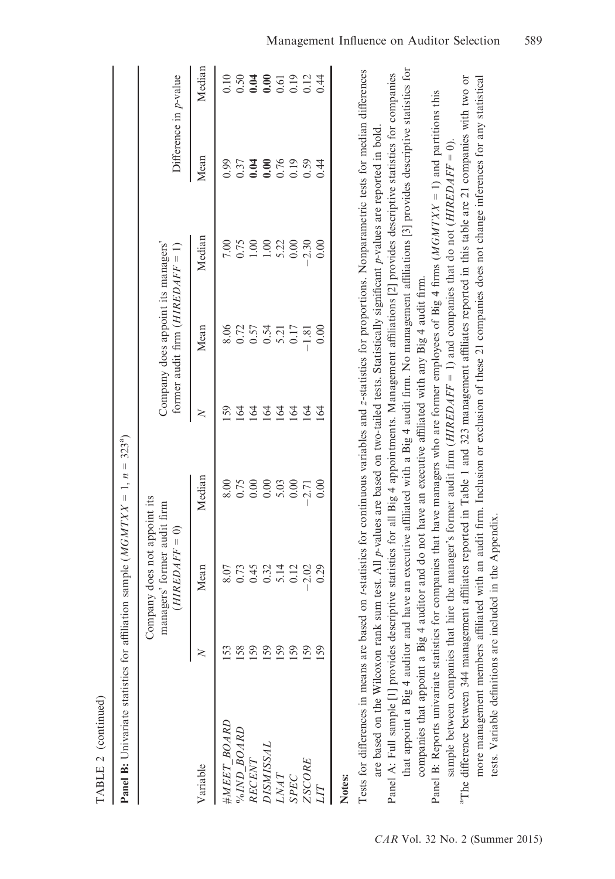| <b>Panel B:</b> Univariate statistics for affiliation sample ( <i>MGMTXX</i> = 1, $n = 323^a$ )                                                                |     |                                                                               |                                                                                                                                                           |        |                                                                          |                |      |                          |
|----------------------------------------------------------------------------------------------------------------------------------------------------------------|-----|-------------------------------------------------------------------------------|-----------------------------------------------------------------------------------------------------------------------------------------------------------|--------|--------------------------------------------------------------------------|----------------|------|--------------------------|
|                                                                                                                                                                |     | Company does not appoint its<br>managers' former audit firm<br>$HIREDAFF = 0$ |                                                                                                                                                           |        | Company does appoint its managers'<br>former audit firm $(HIREDAFF = 1)$ |                |      | Difference in $p$ -value |
| Variable                                                                                                                                                       | ≳   | Mean                                                                          | Median                                                                                                                                                    | $\geq$ | Mean                                                                     | Median         | Mean | Median                   |
| #MEET BOARD                                                                                                                                                    | 53  | 8.07                                                                          | 8.00                                                                                                                                                      | 159    | 8.06                                                                     | 7.00           | 0.99 | 0.10                     |
| %IND BOARD                                                                                                                                                     | 158 | 0.73                                                                          | 0.75                                                                                                                                                      | 164    | 0.72                                                                     | 0.75           | 0.37 | 0.50                     |
| RECENT                                                                                                                                                         | 59  | 0.45                                                                          | 0.00                                                                                                                                                      | 164    | 0.57                                                                     | 1.00           | 0.04 |                          |
| <b>DISMISSAL</b>                                                                                                                                               | 59  |                                                                               |                                                                                                                                                           | 164    |                                                                          |                | 0.00 |                          |
| <b>LNAT</b>                                                                                                                                                    | 59  | $0.32$<br>5.14                                                                | 0.000                                                                                                                                                     | 164    | $0.54$<br>5.21                                                           | $1.00$<br>5.22 | 0.76 |                          |
| <b>SPEC</b>                                                                                                                                                    | 59  | 0.12                                                                          | 0.00                                                                                                                                                      | 164    | 0.17                                                                     | 0.00           | 0.19 |                          |
| <b>ZSCORE</b>                                                                                                                                                  | 159 | $-2.02$                                                                       | 2.71                                                                                                                                                      | 164    | $-1.81$                                                                  | 2.30           | 0.59 | 0.12                     |
|                                                                                                                                                                | 59  | 0.29                                                                          | 0.00                                                                                                                                                      | 164    | 0.00                                                                     | 0.00           | 0.44 | 0.44                     |
| Notes:                                                                                                                                                         |     |                                                                               |                                                                                                                                                           |        |                                                                          |                |      |                          |
| Tests for differences in means are based on t-statistics for continuous variables and z-statistics for proportions. Nonparametric tests for median differences |     |                                                                               |                                                                                                                                                           |        |                                                                          |                |      |                          |
|                                                                                                                                                                |     |                                                                               | are based on the Wilcoxon rank sum test. All p-values are based on two-tailed tests. Statistically significant p-values are reported in bold.             |        |                                                                          |                |      |                          |
| Panel A: Full sample [1] provides descriptive statistics for all Big 4 appointments. Management affiliations [2] provides descriptive statistics for companies |     |                                                                               |                                                                                                                                                           |        |                                                                          |                |      |                          |
|                                                                                                                                                                |     |                                                                               | that appoint a Big 4 auditor and have an executive affiliated with a Big 4 audit firm. No management affiliations [3] provides descriptive statistics for |        |                                                                          |                |      |                          |
|                                                                                                                                                                |     |                                                                               | companies that appoint a Big 4 auditor and do not have an executive affiliated with any Big 4 audit firm.                                                 |        |                                                                          |                |      |                          |
| Panel B: Reports univariate statistics for companies that have managers who are former employees of Big 4 firms ( $MGNXY = 1$ ) and partitions this            |     |                                                                               |                                                                                                                                                           |        |                                                                          |                |      |                          |
|                                                                                                                                                                |     |                                                                               | sample between companies that hire the manager's former audit firm $(HIREDAFF = 1)$ and companies that do not $(HIREDAFF = 0)$ .                          |        |                                                                          |                |      |                          |
| <sup>a</sup> The difference between 344 management                                                                                                             |     |                                                                               | affiliates reported in Table 1 and 323 management affiliates reported in this table are 21 companies with two or                                          |        |                                                                          |                |      |                          |

TABLE 2 (continued)

TABLE 2 (continued)

Management Influence on Auditor Selection 589

aThe difference between 344 management affiliates reported in Table 1 and 323 management affiliates reported in this table are 21 companies with two or more management members affiliated with an audit firm. Inclusion or exclusion of these 21 companies does not change inferences for any statistical

more management members affiliated with an audit firm. Inclusion or exclusion of these 21 companies does not change inferences for any statistical

tests. Variable definitions are included in the Appendix.

tests. Variable definitions are included in the Appendix.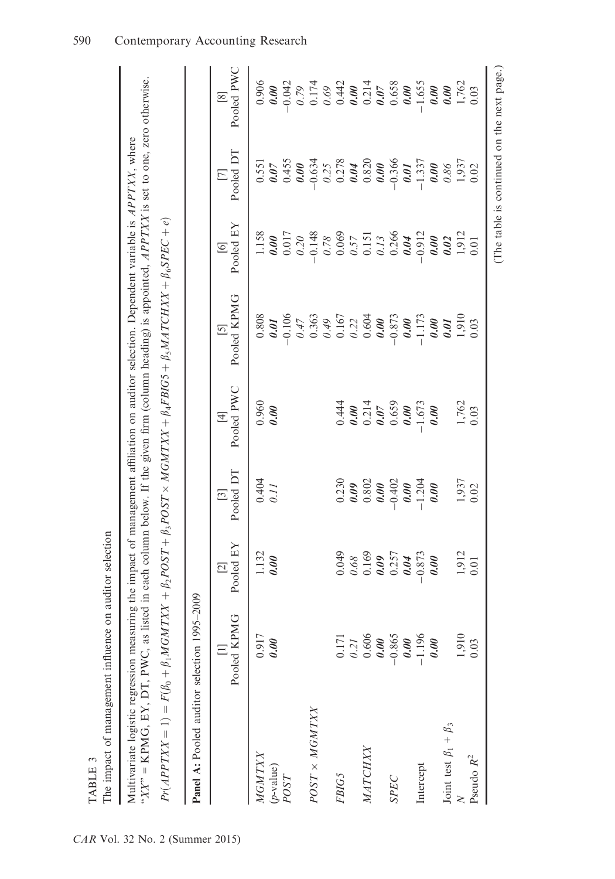| The impact of management influence on                                                                                                                                                                                                                                                                       |             | auditor selection                                                       |                                                                       |                                                                        |                                                                                                                                                                                                                                                                             |                                                                                                                                                                                                                                                                            |                                                                                                                                                     |                                                                                                          |
|-------------------------------------------------------------------------------------------------------------------------------------------------------------------------------------------------------------------------------------------------------------------------------------------------------------|-------------|-------------------------------------------------------------------------|-----------------------------------------------------------------------|------------------------------------------------------------------------|-----------------------------------------------------------------------------------------------------------------------------------------------------------------------------------------------------------------------------------------------------------------------------|----------------------------------------------------------------------------------------------------------------------------------------------------------------------------------------------------------------------------------------------------------------------------|-----------------------------------------------------------------------------------------------------------------------------------------------------|----------------------------------------------------------------------------------------------------------|
| " $XX'' = \text{KPMG}$ , EY, DT, PWC, as listed in each column below. If the given firm (column heading) is appointed, $APPTXX$ is set to one, zero otherwise.<br>Multivariate logistic regression measuring the impact of management affiliation on auditor selection. Dependent variable is APPTXX, where |             |                                                                         |                                                                       |                                                                        |                                                                                                                                                                                                                                                                             |                                                                                                                                                                                                                                                                            |                                                                                                                                                     |                                                                                                          |
| $Pr(APPTXX = 1) = F(\beta_0 + \beta_1 MGNIXX + \beta_2 POST + \beta_3 POST \times MGNIXX + \beta_4FBCS + \beta_5 MATCHXX + \beta_6SPEC + e)$                                                                                                                                                                |             |                                                                         |                                                                       |                                                                        |                                                                                                                                                                                                                                                                             |                                                                                                                                                                                                                                                                            |                                                                                                                                                     |                                                                                                          |
| Panel A: Pooled auditor selection 1995-2009                                                                                                                                                                                                                                                                 |             |                                                                         |                                                                       |                                                                        |                                                                                                                                                                                                                                                                             |                                                                                                                                                                                                                                                                            |                                                                                                                                                     |                                                                                                          |
|                                                                                                                                                                                                                                                                                                             | Pooled KPMG | Pooled EY<br>$[2]$                                                      | Pooled DT<br>$\boxed{3}$                                              | Pooled PWC<br>$\overline{4}$                                           | Pooled KPMG<br>[5]                                                                                                                                                                                                                                                          | Pooled EY<br>6                                                                                                                                                                                                                                                             | Pooled DT<br>$\boxed{7}$                                                                                                                            | Pooled PWC<br>$\boxed{8}$                                                                                |
| <b>MGMTXX</b>                                                                                                                                                                                                                                                                                               | 0.917       | 1.132                                                                   | $0.404$<br>$0.11$                                                     | 0.960                                                                  | 0.808                                                                                                                                                                                                                                                                       | 1.158                                                                                                                                                                                                                                                                      |                                                                                                                                                     |                                                                                                          |
| $(p$ -value)                                                                                                                                                                                                                                                                                                | 0.00        | 0.00                                                                    |                                                                       |                                                                        | $\begin{array}{l} 0.01\\ -0.106\\ 0.47\\ 0.363\\ 0.49\\ 0.363\\ 0.01\\ 0.02\\ 0.03\\ 0.01\\ 0.00\\ 0.00\\ 0.00\\ 0.00\\ 0.00\\ 0.00\\ 0.00\\ 0.00\\ 0.00\\ 0.00\\ 0.00\\ 0.00\\ 0.00\\ 0.00\\ 0.00\\ 0.00\\ 0.00\\ 0.00\\ 0.00\\ 0.00\\ 0.00\\ 0.00\\ 0.00\\ 0.00\\ 0.00\\$ | $\begin{array}{l} 0.00\\ 0.017\\ 0.20\\ 0.30\\ 0.60\\ 0.57\\ 0.51\\ 0.13\\ 0.20\\ 0.00\\ 0.00\\ 0.00\\ 0.00\\ 0.00\\ 0.00\\ 0.00\\ 0.00\\ 0.00\\ 0.00\\ 0.00\\ 0.00\\ 0.00\\ 0.00\\ 0.00\\ 0.00\\ 0.00\\ 0.00\\ 0.00\\ 0.00\\ 0.00\\ 0.00\\ 0.00\\ 0.00\\ 0.00\\ 0.00\\ 0$ | $\begin{array}{l} 0.551 \\ 0.07 \\ 0.455 \\ 0.634 \\ 0.027 \\ 0.034 \\ 0.034 \\ 0.000 \\ 0.000 \\ 0.000 \\ 0.000 \\ 0.001 \\ -1.337 \\ \end{array}$ | $0.906$<br>0.00                                                                                          |
| POST                                                                                                                                                                                                                                                                                                        |             |                                                                         |                                                                       |                                                                        |                                                                                                                                                                                                                                                                             |                                                                                                                                                                                                                                                                            |                                                                                                                                                     | $0.042$<br>$0.79$<br>$0.042$<br>$0.0442$<br>$0.047$<br>$0.058$<br>$0.068$<br>$0.068$<br>$0.00$<br>$0.00$ |
|                                                                                                                                                                                                                                                                                                             |             |                                                                         |                                                                       |                                                                        |                                                                                                                                                                                                                                                                             |                                                                                                                                                                                                                                                                            |                                                                                                                                                     |                                                                                                          |
| $POST\times MGMTXX$                                                                                                                                                                                                                                                                                         |             |                                                                         |                                                                       |                                                                        |                                                                                                                                                                                                                                                                             |                                                                                                                                                                                                                                                                            |                                                                                                                                                     |                                                                                                          |
|                                                                                                                                                                                                                                                                                                             |             |                                                                         |                                                                       |                                                                        |                                                                                                                                                                                                                                                                             |                                                                                                                                                                                                                                                                            |                                                                                                                                                     |                                                                                                          |
| <b>FBIG5</b>                                                                                                                                                                                                                                                                                                | 0.171       |                                                                         |                                                                       |                                                                        |                                                                                                                                                                                                                                                                             |                                                                                                                                                                                                                                                                            |                                                                                                                                                     |                                                                                                          |
|                                                                                                                                                                                                                                                                                                             | 0.21        |                                                                         |                                                                       |                                                                        |                                                                                                                                                                                                                                                                             |                                                                                                                                                                                                                                                                            |                                                                                                                                                     |                                                                                                          |
| MATCHXX                                                                                                                                                                                                                                                                                                     | 0.606       |                                                                         |                                                                       |                                                                        |                                                                                                                                                                                                                                                                             |                                                                                                                                                                                                                                                                            |                                                                                                                                                     |                                                                                                          |
|                                                                                                                                                                                                                                                                                                             | 0.00        |                                                                         |                                                                       |                                                                        |                                                                                                                                                                                                                                                                             |                                                                                                                                                                                                                                                                            |                                                                                                                                                     |                                                                                                          |
| <b>SPEC</b>                                                                                                                                                                                                                                                                                                 | $-0.865$    | $0.049$<br>$0.68$<br>$0.09$<br>$0.09$<br>$0.0757$<br>$0.0737$<br>$0.00$ | $0.230$<br>$0.09$<br>$0.802$<br>$0.00$<br>$0.402$<br>$0.00$<br>$0.00$ | $0.444$<br>$0.00$<br>$0.214$<br>$0.65$<br>$0.65$<br>$0.673$<br>$0.673$ |                                                                                                                                                                                                                                                                             |                                                                                                                                                                                                                                                                            |                                                                                                                                                     |                                                                                                          |
|                                                                                                                                                                                                                                                                                                             | 0.00        |                                                                         |                                                                       |                                                                        |                                                                                                                                                                                                                                                                             |                                                                                                                                                                                                                                                                            |                                                                                                                                                     |                                                                                                          |
| Intercept                                                                                                                                                                                                                                                                                                   | $-1.196$    |                                                                         |                                                                       |                                                                        |                                                                                                                                                                                                                                                                             |                                                                                                                                                                                                                                                                            |                                                                                                                                                     |                                                                                                          |
|                                                                                                                                                                                                                                                                                                             | 0.00        |                                                                         | 0.00                                                                  |                                                                        |                                                                                                                                                                                                                                                                             |                                                                                                                                                                                                                                                                            | 0.00                                                                                                                                                |                                                                                                          |
| Joint test $\beta_1 + \beta_3$                                                                                                                                                                                                                                                                              |             |                                                                         |                                                                       |                                                                        | $\frac{0.01}{1.910}$                                                                                                                                                                                                                                                        | $\frac{0.02}{1.912}$                                                                                                                                                                                                                                                       | $0.86\,$                                                                                                                                            | 0.00                                                                                                     |
| $\geq$                                                                                                                                                                                                                                                                                                      | 1,910       | $\frac{1,912}{0.01}$                                                    | 1,937<br>0.02                                                         | 1,762<br>0.03                                                          |                                                                                                                                                                                                                                                                             |                                                                                                                                                                                                                                                                            | 1,937<br>0.02                                                                                                                                       | 1,762<br>0.03                                                                                            |
| Pseudo $R^2$                                                                                                                                                                                                                                                                                                | 0.03        |                                                                         |                                                                       |                                                                        |                                                                                                                                                                                                                                                                             |                                                                                                                                                                                                                                                                            |                                                                                                                                                     |                                                                                                          |
|                                                                                                                                                                                                                                                                                                             |             |                                                                         |                                                                       |                                                                        |                                                                                                                                                                                                                                                                             |                                                                                                                                                                                                                                                                            | (The table is continued on the next page.)                                                                                                          |                                                                                                          |

TABLE 3

TABLE 3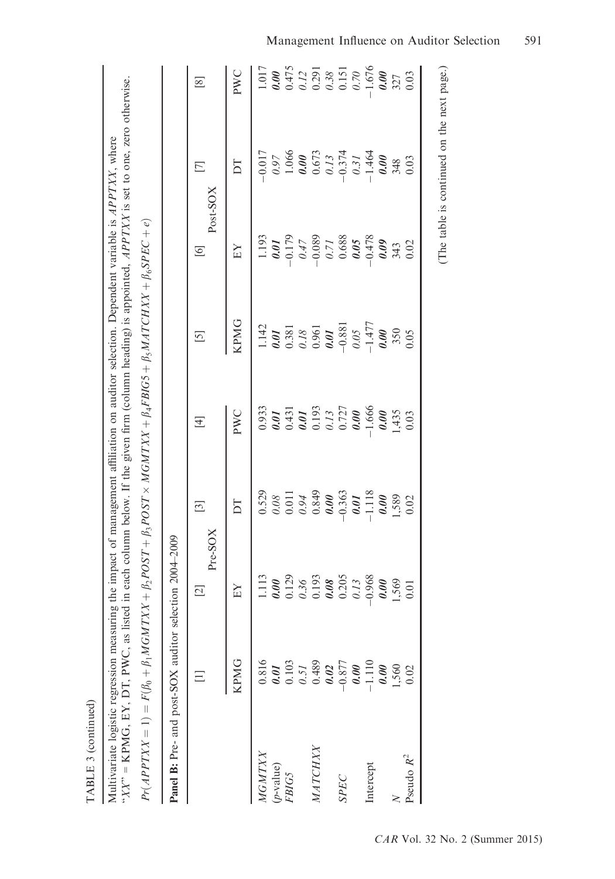| ļ      |
|--------|
|        |
|        |
|        |
|        |
|        |
|        |
|        |
|        |
| ٦<br>٢ |
|        |
| ī      |
| í      |
|        |
|        |
|        |
|        |
|        |
|        |

" $XX'' = \text{KPMG}$ , EY, DT, PWC, as listed in each column below. If the given firm (column heading) is appointed,  $APPTXX$  is set to one, zero otherwise. " $XY'' = \text{KPMG}$ , EY, DT, PWC, as listed in each column below. If the given firm (column heading) is appointed, APPTXX is set to one, zero otherwise. Multivariate logistic regression measuring the impact of management affiliation on auditor selection. Dependent variable is *APPTXX*, where Multivariate logistic regression measuring the impact of management affiliation on auditor selection. Dependent variable is APPTXX, where

 $Pr(\boldsymbol{APPTXX}$  $\frac{1}{1}$  $F(\beta_0 + \beta$  $\beta$   $MGMTXX +$  $\beta_2 POST+$  $\beta_3$ POST  $\times$  MGMTXX  $^+$  $\beta_4FBIG5+$  $\varnothing$  $\beta_{5}MATCHXX +$  $\beta_6$ SPEC  $\begin{matrix} \epsilon \ + \end{matrix}$ 

| ١<br>)<br>í<br>)<br>)<br>ı                               |
|----------------------------------------------------------|
| í<br>i<br>I<br>l<br>l<br>Ï<br>í<br>I<br>í<br>ļ<br>ì<br>١ |
| í<br>I<br>l<br>í<br>ï<br>ı<br>ı                          |
| I<br>֠<br>q<br>j<br>j<br>֠<br>ı<br>I<br>ì<br>l<br>֠      |
| ţ<br>į<br>١<br>I<br>ı<br>ł<br>l<br>l                     |
| q<br>ì<br>ij<br>i<br>I                                   |

|                      |                                                                                                                                                       | $Pre-SOX$<br>$\overline{\mathbb{C}}$                                                                                                                                                          | $\boxed{3}$    |                                                                                                                    | [5]                                                                                                                                              | Post-SOX<br>61                                                                                                                 | $\Box$                                                                                        |                                                                                                                                  |
|----------------------|-------------------------------------------------------------------------------------------------------------------------------------------------------|-----------------------------------------------------------------------------------------------------------------------------------------------------------------------------------------------|----------------|--------------------------------------------------------------------------------------------------------------------|--------------------------------------------------------------------------------------------------------------------------------------------------|--------------------------------------------------------------------------------------------------------------------------------|-----------------------------------------------------------------------------------------------|----------------------------------------------------------------------------------------------------------------------------------|
|                      | <b>KPMG</b>                                                                                                                                           | $_{\rm EY}$                                                                                                                                                                                   | $\overline{D}$ | PWC                                                                                                                | <b>SDNG</b>                                                                                                                                      | $_{\rm EY}$                                                                                                                    | $\overline{D}$                                                                                | PWC                                                                                                                              |
| <b>IGMTXX</b>        |                                                                                                                                                       |                                                                                                                                                                                               |                |                                                                                                                    |                                                                                                                                                  |                                                                                                                                |                                                                                               |                                                                                                                                  |
| p-value)             |                                                                                                                                                       |                                                                                                                                                                                               |                |                                                                                                                    |                                                                                                                                                  |                                                                                                                                |                                                                                               |                                                                                                                                  |
| <b>BIG5</b>          |                                                                                                                                                       |                                                                                                                                                                                               |                |                                                                                                                    |                                                                                                                                                  |                                                                                                                                |                                                                                               |                                                                                                                                  |
|                      |                                                                                                                                                       |                                                                                                                                                                                               |                |                                                                                                                    |                                                                                                                                                  |                                                                                                                                |                                                                                               |                                                                                                                                  |
| <i>ATCHX</i>         |                                                                                                                                                       |                                                                                                                                                                                               |                |                                                                                                                    |                                                                                                                                                  |                                                                                                                                |                                                                                               |                                                                                                                                  |
|                      |                                                                                                                                                       |                                                                                                                                                                                               |                |                                                                                                                    |                                                                                                                                                  |                                                                                                                                |                                                                                               |                                                                                                                                  |
| SPEC                 |                                                                                                                                                       |                                                                                                                                                                                               |                |                                                                                                                    |                                                                                                                                                  |                                                                                                                                |                                                                                               |                                                                                                                                  |
|                      |                                                                                                                                                       |                                                                                                                                                                                               |                |                                                                                                                    |                                                                                                                                                  |                                                                                                                                |                                                                                               |                                                                                                                                  |
| ntercept             | $\begin{array}{c} 0.816 \\ 0.01 \\ 0.103 \\ 0.033 \\ 0.489 \\ 0.489 \\ 0.037 \\ 0.037 \\ 0.037 \\ -1.10 \\ 0.00 \\ 0.02 \\ 1,560 \\ 0.02 \end{array}$ | $\frac{113}{1.190}$<br>$\frac{138}{0.128}$<br>$\frac{6}{0.128}$<br>$\frac{6}{0.128}$<br>$\frac{6}{0.128}$<br>$\frac{6}{0.128}$<br>$\frac{6}{0.128}$<br>$\frac{6}{0.128}$<br>$\frac{6}{0.128}$ |                | $\begin{array}{l} 0.933\\ 0.01\\ 0.431\\ 0.193\\ 0.133\\ 0.132\\ 0.0727\\ 0.00\\ 0.03\\ 0.03\\ 0.03\\ \end{array}$ | $\begin{array}{l} 1.142 \\ 0.07 \\ 0.381 \\ 0.381 \\ 0.961 \\ 0.961 \\ 0.003 \\ -0.881 \\ 0.05 \\ -1.477 \\ 0.05 \\ 0.05 \\ 0.05 \\ \end{array}$ | $1.193$<br>$0.01$<br>$0.01$<br>$0.47$<br>$0.88$<br>$0.7$<br>$0.88$<br>$0.64$<br>$0.02$<br>$0.02$<br>$0.02$<br>$0.02$<br>$0.02$ | $-0.017$<br>$0.95$<br>$0.066$<br>$0.067$<br>$0.073$<br>$0.374$<br>$0.348$<br>$0.03$<br>$0.03$ | $\begin{array}{c} 1.017 \\ 0.00 \\ 0.475 \\ 0.12 \\ 0.38 \\ 0.38 \\ 0.51 \\ 0.67 \\ 0.70 \\ 0.03 \\ 0.03 \\ 0.03 \\ \end{array}$ |
|                      |                                                                                                                                                       |                                                                                                                                                                                               |                |                                                                                                                    |                                                                                                                                                  |                                                                                                                                |                                                                                               |                                                                                                                                  |
|                      |                                                                                                                                                       |                                                                                                                                                                                               |                |                                                                                                                    |                                                                                                                                                  |                                                                                                                                |                                                                                               |                                                                                                                                  |
| Seudo R <sup>2</sup> |                                                                                                                                                       |                                                                                                                                                                                               |                |                                                                                                                    |                                                                                                                                                  |                                                                                                                                |                                                                                               |                                                                                                                                  |

(The table is continued on the next page.)

(The table is continued on the next page.)

CAR Vol. 32 No. 2 (Summer 2015)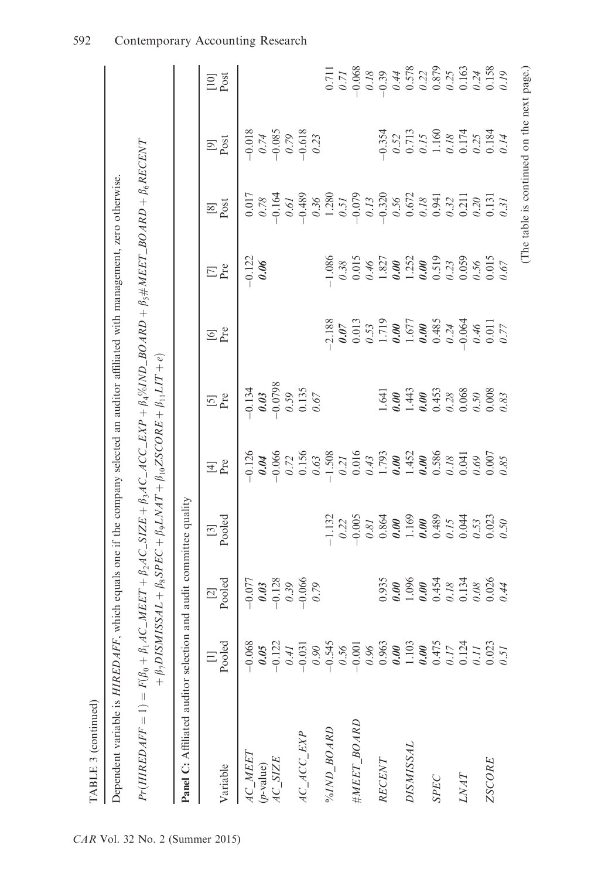| TABLE 3 (continued)                                                                                                                  |                                                                                                                      |                                                                                                                          |                                                                                                                |                 |                                                                                           |                                                                                                                                                                                                                                                                                                             |                                                                                                                                                                                                                                                                           |                                                                                                                                                                                                                                                                            |                                                                                             |                                                                                                                                                                                                                                                                            |
|--------------------------------------------------------------------------------------------------------------------------------------|----------------------------------------------------------------------------------------------------------------------|--------------------------------------------------------------------------------------------------------------------------|----------------------------------------------------------------------------------------------------------------|-----------------|-------------------------------------------------------------------------------------------|-------------------------------------------------------------------------------------------------------------------------------------------------------------------------------------------------------------------------------------------------------------------------------------------------------------|---------------------------------------------------------------------------------------------------------------------------------------------------------------------------------------------------------------------------------------------------------------------------|----------------------------------------------------------------------------------------------------------------------------------------------------------------------------------------------------------------------------------------------------------------------------|---------------------------------------------------------------------------------------------|----------------------------------------------------------------------------------------------------------------------------------------------------------------------------------------------------------------------------------------------------------------------------|
| Dependent variable is HIREDAFF, which                                                                                                |                                                                                                                      |                                                                                                                          |                                                                                                                |                 | equals one if the company selected an auditor affiliated with management, zero otherwise. |                                                                                                                                                                                                                                                                                                             |                                                                                                                                                                                                                                                                           |                                                                                                                                                                                                                                                                            |                                                                                             |                                                                                                                                                                                                                                                                            |
| $Pr(HIREDAFF=1)=F(\beta_0+\beta_1AC\_MEET+\beta_2AC\_SZE+\beta_3AC\_ACC\_EXP+\beta_4\%IND\_BOARD+\beta_5\#MEET\_BOARD+\beta_6RECENT$ |                                                                                                                      |                                                                                                                          |                                                                                                                |                 | $+\beta_{7}DISMAL+\beta_{8}SPEC+\beta_{9}LNAT+\beta_{10}ZSCORE+\beta_{11}LIT+e)$          |                                                                                                                                                                                                                                                                                                             |                                                                                                                                                                                                                                                                           |                                                                                                                                                                                                                                                                            |                                                                                             |                                                                                                                                                                                                                                                                            |
| Panel C: Affiliated auditor selection and audit committee quality                                                                    |                                                                                                                      |                                                                                                                          |                                                                                                                |                 |                                                                                           |                                                                                                                                                                                                                                                                                                             |                                                                                                                                                                                                                                                                           |                                                                                                                                                                                                                                                                            |                                                                                             |                                                                                                                                                                                                                                                                            |
| Variable                                                                                                                             | Pooled                                                                                                               | Pooled                                                                                                                   | Pooled                                                                                                         | $E_{\text{re}}$ | [5]                                                                                       | $\overline{\mathbb{S}}$ pre                                                                                                                                                                                                                                                                                 | $E$ ere                                                                                                                                                                                                                                                                   | $\frac{[8]}{Post}$                                                                                                                                                                                                                                                         | $\frac{\rm [9]}{\rm Post}$                                                                  | $[10]$<br>Post                                                                                                                                                                                                                                                             |
| AC_MEET                                                                                                                              | $-0.068$                                                                                                             |                                                                                                                          |                                                                                                                |                 |                                                                                           |                                                                                                                                                                                                                                                                                                             |                                                                                                                                                                                                                                                                           |                                                                                                                                                                                                                                                                            |                                                                                             |                                                                                                                                                                                                                                                                            |
| $(p$ -value)                                                                                                                         | 0.05                                                                                                                 |                                                                                                                          |                                                                                                                |                 |                                                                                           |                                                                                                                                                                                                                                                                                                             | $-0.122$<br>0.06                                                                                                                                                                                                                                                          |                                                                                                                                                                                                                                                                            |                                                                                             |                                                                                                                                                                                                                                                                            |
| AC_SIZE                                                                                                                              | $-0.122$                                                                                                             |                                                                                                                          |                                                                                                                |                 |                                                                                           |                                                                                                                                                                                                                                                                                                             |                                                                                                                                                                                                                                                                           |                                                                                                                                                                                                                                                                            |                                                                                             |                                                                                                                                                                                                                                                                            |
|                                                                                                                                      | 0.41                                                                                                                 |                                                                                                                          |                                                                                                                |                 |                                                                                           |                                                                                                                                                                                                                                                                                                             |                                                                                                                                                                                                                                                                           |                                                                                                                                                                                                                                                                            |                                                                                             |                                                                                                                                                                                                                                                                            |
| $AC\_ACC\_EXP$                                                                                                                       | $-0.031$                                                                                                             | $-0.077$<br>$0.03$<br>$-0.128$<br>$-0.39$<br>$-0.066$<br>$0.79$                                                          |                                                                                                                |                 | $-0.134$<br>$0.03$<br>$0.0798$<br>$0.59$<br>$0.135$<br>$0.67$                             |                                                                                                                                                                                                                                                                                                             |                                                                                                                                                                                                                                                                           | $\begin{array}{l} 0.017\\ 0.78\\ 0.64\\ 0.48\\ 0.50\\ 0.64\\ 0.50\\ 0.65\\ 0.67\\ 0.67\\ 0.67\\ 0.67\\ 0.67\\ 0.67\\ 0.67\\ 0.67\\ 0.67\\ 0.67\\ 0.67\\ 0.67\\ 0.67\\ 0.67\\ 0.67\\ 0.67\\ 0.67\\ 0.67\\ 0.67\\ 0.67\\ 0.67\\ 0.67\\ 0.67\\ 0.67\\ 0.67\\ 0.67\\ 0.67\\ 0$ | $-0.018$<br>$0.74$<br>$0.085$<br>$0.79$<br>$0.018$<br>$0.23$                                |                                                                                                                                                                                                                                                                            |
|                                                                                                                                      |                                                                                                                      |                                                                                                                          |                                                                                                                |                 |                                                                                           |                                                                                                                                                                                                                                                                                                             |                                                                                                                                                                                                                                                                           |                                                                                                                                                                                                                                                                            |                                                                                             |                                                                                                                                                                                                                                                                            |
| $0.4 N D_B Q A R D$                                                                                                                  | $0.90$<br>-0.545                                                                                                     |                                                                                                                          |                                                                                                                |                 |                                                                                           |                                                                                                                                                                                                                                                                                                             |                                                                                                                                                                                                                                                                           |                                                                                                                                                                                                                                                                            |                                                                                             |                                                                                                                                                                                                                                                                            |
|                                                                                                                                      | 0.56                                                                                                                 |                                                                                                                          |                                                                                                                |                 |                                                                                           |                                                                                                                                                                                                                                                                                                             |                                                                                                                                                                                                                                                                           |                                                                                                                                                                                                                                                                            |                                                                                             |                                                                                                                                                                                                                                                                            |
| $\# MLET\_BOARD$                                                                                                                     | $-0.001$                                                                                                             |                                                                                                                          |                                                                                                                |                 |                                                                                           |                                                                                                                                                                                                                                                                                                             |                                                                                                                                                                                                                                                                           |                                                                                                                                                                                                                                                                            |                                                                                             |                                                                                                                                                                                                                                                                            |
|                                                                                                                                      |                                                                                                                      |                                                                                                                          |                                                                                                                |                 |                                                                                           |                                                                                                                                                                                                                                                                                                             |                                                                                                                                                                                                                                                                           |                                                                                                                                                                                                                                                                            |                                                                                             |                                                                                                                                                                                                                                                                            |
| RECENT                                                                                                                               | $\begin{array}{l} 0.96\\ 0.963\\ 0.00\\ 0.103\\ 0.00\\ 0.475\\ 0.12\\ 0.11\\ 0.023\\ 0.03\\ 0.03\\ 0.51 \end{array}$ |                                                                                                                          | $-1.132$<br>$0.205$<br>$0.81$<br>$0.84$<br>$0.85$<br>$0.86$<br>$0.169$<br>$0.36$<br>$0.50$<br>$0.50$<br>$0.50$ |                 | $1.641$<br>$0.00$<br>$0.43$<br>$0.43$<br>$0.45$<br>$0.38$<br>$0.50$<br>$0.83$             | $\begin{array}{l} 2.188 \\ 0.013 \\ 0.013 \\ 0.013 \\ 0.013 \\ 0.00 \\ 0.013 \\ 0.00 \\ 0.00 \\ 0.00 \\ 0.00 \\ 0.00 \\ 0.01 \\ 0.00 \\ 0.01 \\ 0.00 \\ 0.01 \\ 0.00 \\ 0.01 \\ 0.00 \\ 0.00 \\ 0.00 \\ 0.00 \\ 0.00 \\ 0.00 \\ 0.00 \\ 0.00 \\ 0.00 \\ 0.00 \\ 0.00 \\ 0.00 \\ 0.00 \\ 0.00 \\ 0.00 \\ 0.$ | $\begin{array}{l} 1.086\\ 0.38\\ 0.015\\ 0.014\\ 0.00\\ 0.013\\ 0.00\\ 0.01\\ 0.00\\ 0.00\\ 0.00\\ 0.00\\ 0.00\\ 0.00\\ 0.00\\ 0.00\\ 0.00\\ 0.00\\ 0.00\\ 0.00\\ 0.00\\ 0.00\\ 0.00\\ 0.00\\ 0.00\\ 0.00\\ 0.00\\ 0.00\\ 0.00\\ 0.00\\ 0.00\\ 0.00\\ 0.00\\ 0.00\\ 0.00$ |                                                                                                                                                                                                                                                                            | $-0.354$<br>$0.52$<br>$0.13$<br>$0.15$<br>$0.18$<br>$0.174$<br>$0.184$<br>$0.184$<br>$0.14$ | $\begin{array}{l} 0.711\\ 0.77\\ 0.68\\ 0.9\\ 0.39\\ 0.57\\ 0.57\\ 0.57\\ 0.57\\ 0.53\\ 0.53\\ 0.53\\ 0.53\\ 0.53\\ 0.53\\ 0.53\\ 0.53\\ 0.53\\ 0.53\\ 0.53\\ 0.53\\ 0.53\\ 0.53\\ 0.53\\ 0.53\\ 0.53\\ 0.53\\ 0.53\\ 0.53\\ 0.53\\ 0.53\\ 0.53\\ 0.53\\ 0.53\\ 0.53\\ 0.$ |
|                                                                                                                                      |                                                                                                                      |                                                                                                                          |                                                                                                                |                 |                                                                                           |                                                                                                                                                                                                                                                                                                             |                                                                                                                                                                                                                                                                           |                                                                                                                                                                                                                                                                            |                                                                                             |                                                                                                                                                                                                                                                                            |
| <b>DISMISSAL</b>                                                                                                                     |                                                                                                                      |                                                                                                                          |                                                                                                                |                 |                                                                                           |                                                                                                                                                                                                                                                                                                             |                                                                                                                                                                                                                                                                           |                                                                                                                                                                                                                                                                            |                                                                                             |                                                                                                                                                                                                                                                                            |
|                                                                                                                                      |                                                                                                                      |                                                                                                                          |                                                                                                                |                 |                                                                                           |                                                                                                                                                                                                                                                                                                             |                                                                                                                                                                                                                                                                           |                                                                                                                                                                                                                                                                            |                                                                                             |                                                                                                                                                                                                                                                                            |
| <b>SPEC</b>                                                                                                                          |                                                                                                                      | $\begin{array}{l} 0.935 \\ 0.00 \\ -0.00 \\ 0.454 \\ 0.13 \\ 0.00 \\ 0.134 \\ 0.00 \\ 0.00 \\ 0.00 \\ 0.044 \end{array}$ |                                                                                                                |                 |                                                                                           |                                                                                                                                                                                                                                                                                                             |                                                                                                                                                                                                                                                                           |                                                                                                                                                                                                                                                                            |                                                                                             |                                                                                                                                                                                                                                                                            |
|                                                                                                                                      |                                                                                                                      |                                                                                                                          |                                                                                                                |                 |                                                                                           |                                                                                                                                                                                                                                                                                                             |                                                                                                                                                                                                                                                                           |                                                                                                                                                                                                                                                                            |                                                                                             |                                                                                                                                                                                                                                                                            |
| <b>LNAT</b>                                                                                                                          |                                                                                                                      |                                                                                                                          |                                                                                                                |                 |                                                                                           |                                                                                                                                                                                                                                                                                                             |                                                                                                                                                                                                                                                                           |                                                                                                                                                                                                                                                                            |                                                                                             |                                                                                                                                                                                                                                                                            |
|                                                                                                                                      |                                                                                                                      |                                                                                                                          |                                                                                                                |                 |                                                                                           |                                                                                                                                                                                                                                                                                                             |                                                                                                                                                                                                                                                                           |                                                                                                                                                                                                                                                                            |                                                                                             |                                                                                                                                                                                                                                                                            |
| <b>ZSCORE</b>                                                                                                                        |                                                                                                                      |                                                                                                                          |                                                                                                                |                 |                                                                                           |                                                                                                                                                                                                                                                                                                             |                                                                                                                                                                                                                                                                           |                                                                                                                                                                                                                                                                            |                                                                                             |                                                                                                                                                                                                                                                                            |
|                                                                                                                                      |                                                                                                                      |                                                                                                                          |                                                                                                                |                 |                                                                                           |                                                                                                                                                                                                                                                                                                             |                                                                                                                                                                                                                                                                           |                                                                                                                                                                                                                                                                            |                                                                                             |                                                                                                                                                                                                                                                                            |
|                                                                                                                                      |                                                                                                                      |                                                                                                                          |                                                                                                                |                 |                                                                                           |                                                                                                                                                                                                                                                                                                             |                                                                                                                                                                                                                                                                           | (The table is continued on the next page.)                                                                                                                                                                                                                                 |                                                                                             |                                                                                                                                                                                                                                                                            |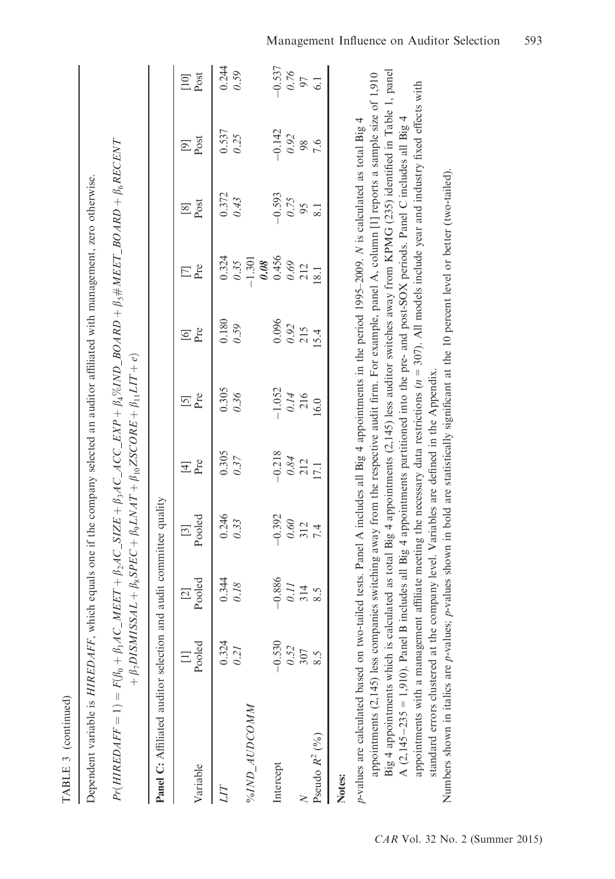| C |
|---|
| л |
| ī |

| $\frac{1}{2}$                                                                                  |
|------------------------------------------------------------------------------------------------|
|                                                                                                |
| :<br>i                                                                                         |
|                                                                                                |
| i                                                                                              |
|                                                                                                |
|                                                                                                |
|                                                                                                |
|                                                                                                |
| ֧֦֧֧֧֧֧֧֧֧֧֦֧֧֧֧֧֧֧֧֧֧֧֧֧֧֧֧֚֚֚֚֚֚֚֚֝֝֝֝֬֝֓֝֬֝֓֝֬֝֬֝֓֝֬֝֬֝֓֝֬֝֓֝֬֝֓֝֬֝֬֝֓֝֬֝֬֝֝֬֝֬֝֬֝֬֝֬֝֝֝֝֝֬ |
|                                                                                                |
|                                                                                                |
|                                                                                                |
|                                                                                                |
|                                                                                                |
| $\frac{1}{2}$                                                                                  |
|                                                                                                |
| l<br>í                                                                                         |
| I                                                                                              |
| j<br>l<br>į<br>ı                                                                               |
| l<br>ı<br>ċ<br>ì                                                                               |
| ¢<br>1<br>ı<br>÷                                                                               |
| Ś<br>Ì<br>¢<br>l                                                                               |
| i<br>j<br>ίā.<br>i                                                                             |
| $\frac{1}{2}$<br>É<br>l<br>ä                                                                   |
| j<br>₹<br>i<br>ţ<br>ă<br>ì<br>í                                                                |
| É<br>ׇ֦֡֡<br>$\overline{a}$<br>J                                                               |

| I<br>C<br>- A SHELFA SHELFA A SHELFA A SHELFA A SHELFA A SHELFA A SHELFA A SHELFA A SHELFA A SHELFA A SHELFA A SHELFA A SHELFA A SHELFA A SHELFA A SHELFA A SHELFA A SHELFA A SHELFA A SHELFA A SHELFA A SHELFA A SHELFA A SHELFA A SHEL<br>$\sim$ 0 $\sim$ | $\ddot{ }$<br>- Indential completed completed c<br>$+ \beta_{\tau}DISMISSAL$ |
|-------------------------------------------------------------------------------------------------------------------------------------------------------------------------------------------------------------------------------------------------------------|------------------------------------------------------------------------------|
| l<br>$\mathsf{I}$<br>j                                                                                                                                                                                                                                      |                                                                              |

| Panel C: Affiliated auditor selection and |               |                                      | audit committee quality                                    |                                            |                                      |                                       |                                                                                                          |                                        |                                   |                                                          |
|-------------------------------------------|---------------|--------------------------------------|------------------------------------------------------------|--------------------------------------------|--------------------------------------|---------------------------------------|----------------------------------------------------------------------------------------------------------|----------------------------------------|-----------------------------------|----------------------------------------------------------|
| Variable                                  | Pooled        | $\frac{[2]}{\text{Pooled}}$          | $\begin{array}{c} \text{[3]} \\ \text{Pooled} \end{array}$ | $E_{\rm re}$                               | $\overline{P}_{re}$                  | $\frac{[6]}{P}$ re                    | $\Gamma_{\rm re}$                                                                                        | $\frac{\left[ 8\right] }{\text{Post}}$ | $\frac{[9]}{Post}$                | $\begin{array}{c} \boxed{10} \\ \text{Post} \end{array}$ |
| ПL                                        | 0.324         | $0.344$<br>$0.18$                    | $0.246$<br>$0.33$                                          | $0.305$<br>$0.37$                          | $0.305$<br>$0.36$                    | $0.180$<br>$0.59$                     |                                                                                                          | $0.372$<br>$0.43$                      | $0.537$<br>$0.25$                 | $0.244$<br>$0.59$                                        |
| WND_AUDCOMM                               | 0.21          |                                      |                                                            |                                            |                                      |                                       |                                                                                                          |                                        |                                   |                                                          |
| Intercept                                 | $-0.530$      |                                      |                                                            |                                            |                                      |                                       | $\begin{array}{c} 0.324 \\ 0.35 \\ -1.301 \\ \textbf{0.08} \\ 0.456 \\ 0.69 \\ 2.12 \\ 18.1 \end{array}$ |                                        |                                   |                                                          |
|                                           | $0.52$<br>307 | $0.886$<br>$0.11$<br>$0.14$<br>$8.5$ | $-0.392$<br>$0.60$<br>$7.4$                                | $\frac{0.218}{0.84}$<br>$\frac{212}{17.1}$ | $\frac{0.052}{0.14}$<br>0.14<br>16.0 | $0.096$<br>$0.92$<br>$0.15$<br>$15.4$ |                                                                                                          | $\frac{0.593}{0.75}$<br>95<br>8.1      | $\frac{0.142}{0.92}$<br>98<br>7.6 | $-0.537$<br>$0.76$<br>$97$<br>$6.1$                      |
| Pseudo $R^2$ (%)                          | 8.5           |                                      |                                                            |                                            |                                      |                                       |                                                                                                          |                                        |                                   |                                                          |
| Notes:                                    |               |                                      |                                                            |                                            |                                      |                                       |                                                                                                          |                                        |                                   |                                                          |

Big 4 appointments which is calculated as total Big 4 appointments (2,145) less auditor switches away from KPMG (235) identified in Table 1, panel Big 4 appointments which is calculated as total Big 4 appointments (2,145) less auditor switches away from KPMG (235) identified in Table 1, panel appointments (2,145) less companies switching away from the respective audit firm. For example, panel A, column [1] reports a sample size of 1,910 appointments (2,145) less companies switching away from the respective audit firm. For example, panel A, column [1] reports a sample size of 1,910 appointments with a management affiliate meeting the necessary data restrictions  $(n = 307)$ . All models include year and industry fixed effects with appointments with a management affiliate meeting the necessary data restrictions  $(n = 307)$ . All models include year and industry fixed effects with A (2,145-235 = 1,910). Panel B includes all Big 4 appointments partitioned into the pre- and post-SOX periods. Panel C includes all Big 4 p-values are calculated based on two-tailed tests. Panel A includes all Big 4 appointments in the period 1995-2009. N is calculated as total Big 4 A (2,145235 = 1,910). Panel B includes all Big 4 appointments partitioned into the pre- and post-SOX periods. Panel C includes all Big 4 p-values are calculated based on two-tailed tests. Panel A includes all Big 4 appointments in the period 1995–2009. N is calculated as total Big 4 Numbers shown in italies are p-values; p-values shown in bold are statistically significant at the 10 percent level or better (two-tailed). Numbers shown in italics are p-values; p-values shown in bold are statistically significant at the 10 percent level or better (two-tailed). standard errors clustered at the company level. Variables are defined in the Appendix. standard errors clustered at the company level. Variables are defined in the Appendix.

CAR Vol. 32 No. 2 (Summer 2015)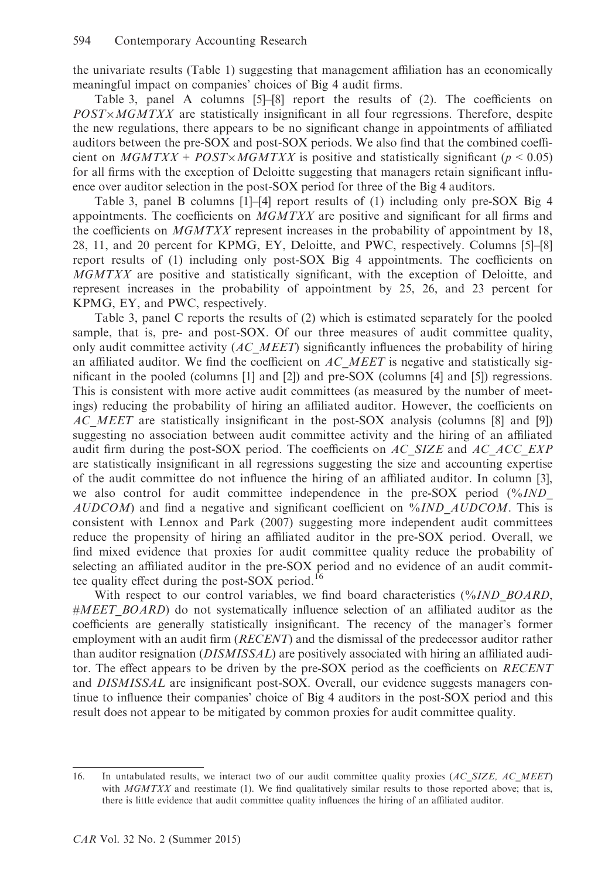the univariate results (Table 1) suggesting that management affiliation has an economically meaningful impact on companies' choices of Big 4 audit firms.

Table 3, panel A columns [5]–[8] report the results of (2). The coefficients on  $POST \times MGMTXX$  are statistically insignificant in all four regressions. Therefore, despite the new regulations, there appears to be no significant change in appointments of affiliated auditors between the pre-SOX and post-SOX periods. We also find that the combined coefficient on  $MGMTXX + POST \times MGMTXX$  is positive and statistically significant ( $p < 0.05$ ) for all firms with the exception of Deloitte suggesting that managers retain significant influence over auditor selection in the post-SOX period for three of the Big 4 auditors.

Table 3, panel B columns [1]–[4] report results of (1) including only pre-SOX Big 4 appointments. The coefficients on MGMTXX are positive and significant for all firms and the coefficients on  $MGMTXX$  represent increases in the probability of appointment by 18, 28, 11, and 20 percent for KPMG, EY, Deloitte, and PWC, respectively. Columns [5]–[8] report results of (1) including only post-SOX Big 4 appointments. The coefficients on MGMTXX are positive and statistically significant, with the exception of Deloitte, and represent increases in the probability of appointment by 25, 26, and 23 percent for KPMG, EY, and PWC, respectively.

Table 3, panel C reports the results of (2) which is estimated separately for the pooled sample, that is, pre- and post-SOX. Of our three measures of audit committee quality, only audit committee activity  $(ACMEET)$  significantly influences the probability of hiring an affiliated auditor. We find the coefficient on  $AC\_MEET$  is negative and statistically significant in the pooled (columns [1] and [2]) and pre-SOX (columns [4] and [5]) regressions. This is consistent with more active audit committees (as measured by the number of meetings) reducing the probability of hiring an affiliated auditor. However, the coefficients on AC MEET are statistically insignificant in the post-SOX analysis (columns [8] and [9]) suggesting no association between audit committee activity and the hiring of an affiliated audit firm during the post-SOX period. The coefficients on AC SIZE and AC ACC EXP are statistically insignificant in all regressions suggesting the size and accounting expertise of the audit committee do not influence the hiring of an affiliated auditor. In column [3], we also control for audit committee independence in the pre-SOX period  $(\frac{\partial (NID)}{\partial T})$ AUDCOM) and find a negative and significant coefficient on  $\frac{\partial \phi}{\partial D}$  AUDCOM. This is consistent with Lennox and Park (2007) suggesting more independent audit committees reduce the propensity of hiring an affiliated auditor in the pre-SOX period. Overall, we find mixed evidence that proxies for audit committee quality reduce the probability of selecting an affiliated auditor in the pre-SOX period and no evidence of an audit committee quality effect during the post-SOX period.<sup>16</sup>

With respect to our control variables, we find board characteristics  $(\% NDD \, BOARD,$  $\#MEET\ BOARD$ ) do not systematically influence selection of an affiliated auditor as the coefficients are generally statistically insignificant. The recency of the manager's former employment with an audit firm (RECENT) and the dismissal of the predecessor auditor rather than auditor resignation (DISMISSAL) are positively associated with hiring an affiliated auditor. The effect appears to be driven by the pre-SOX period as the coefficients on RECENT and DISMISSAL are insignificant post-SOX. Overall, our evidence suggests managers continue to influence their companies' choice of Big 4 auditors in the post-SOX period and this result does not appear to be mitigated by common proxies for audit committee quality.

<sup>16.</sup> In untabulated results, we interact two of our audit committee quality proxies (AC\_SIZE, AC\_MEET) with  $MGMTXX$  and reestimate (1). We find qualitatively similar results to those reported above; that is, there is little evidence that audit committee quality influences the hiring of an affiliated auditor.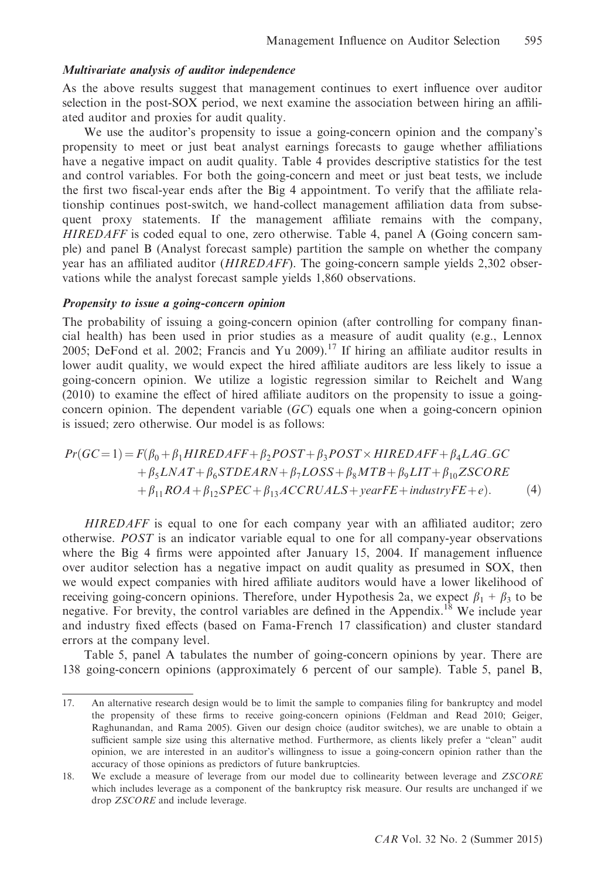#### Multivariate analysis of auditor independence

As the above results suggest that management continues to exert influence over auditor selection in the post-SOX period, we next examine the association between hiring an affiliated auditor and proxies for audit quality.

We use the auditor's propensity to issue a going-concern opinion and the company's propensity to meet or just beat analyst earnings forecasts to gauge whether affiliations have a negative impact on audit quality. Table 4 provides descriptive statistics for the test and control variables. For both the going-concern and meet or just beat tests, we include the first two fiscal-year ends after the Big 4 appointment. To verify that the affiliate relationship continues post-switch, we hand-collect management affiliation data from subsequent proxy statements. If the management affiliate remains with the company, HIREDAFF is coded equal to one, zero otherwise. Table 4, panel A (Going concern sample) and panel B (Analyst forecast sample) partition the sample on whether the company year has an affiliated auditor (HIREDAFF). The going-concern sample yields 2,302 observations while the analyst forecast sample yields 1,860 observations.

#### Propensity to issue a going-concern opinion

The probability of issuing a going-concern opinion (after controlling for company financial health) has been used in prior studies as a measure of audit quality (e.g., Lennox 2005; DeFond et al. 2002; Francis and Yu 2009).<sup>17</sup> If hiring an affiliate auditor results in lower audit quality, we would expect the hired affiliate auditors are less likely to issue a going-concern opinion. We utilize a logistic regression similar to Reichelt and Wang (2010) to examine the effect of hired affiliate auditors on the propensity to issue a goingconcern opinion. The dependent variable  $(GC)$  equals one when a going-concern opinion is issued; zero otherwise. Our model is as follows:

$$
Pr(GC=1) = F(\beta_0 + \beta_1 HIREDAFF + \beta_2 POST + \beta_3 POST \times HIREDAFF + \beta_4LAG\_GC + \beta_5 LNAT + \beta_6 STDEARN + \beta_7 LOSS + \beta_8 MTB + \beta_9 LIT + \beta_{10} ZSCORE + \beta_{11} ROA + \beta_{12} SPEC + \beta_{13} ACCRUALS + yearFE + industryFE + e).
$$
 (4)

HIREDAFF is equal to one for each company year with an affiliated auditor; zero otherwise. POST is an indicator variable equal to one for all company-year observations where the Big 4 firms were appointed after January 15, 2004. If management influence over auditor selection has a negative impact on audit quality as presumed in SOX, then we would expect companies with hired affiliate auditors would have a lower likelihood of receiving going-concern opinions. Therefore, under Hypothesis 2a, we expect  $\beta_1 + \beta_3$  to be negative. For brevity, the control variables are defined in the Appendix.<sup>18</sup> We include year and industry fixed effects (based on Fama-French 17 classification) and cluster standard errors at the company level.

Table 5, panel A tabulates the number of going-concern opinions by year. There are 138 going-concern opinions (approximately 6 percent of our sample). Table 5, panel B,

<sup>17.</sup> An alternative research design would be to limit the sample to companies filing for bankruptcy and model the propensity of these firms to receive going-concern opinions (Feldman and Read 2010; Geiger, Raghunandan, and Rama 2005). Given our design choice (auditor switches), we are unable to obtain a sufficient sample size using this alternative method. Furthermore, as clients likely prefer a "clean" audit opinion, we are interested in an auditor's willingness to issue a going-concern opinion rather than the accuracy of those opinions as predictors of future bankruptcies.

<sup>18.</sup> We exclude a measure of leverage from our model due to collinearity between leverage and ZSCORE which includes leverage as a component of the bankruptcy risk measure. Our results are unchanged if we drop ZSCORE and include leverage.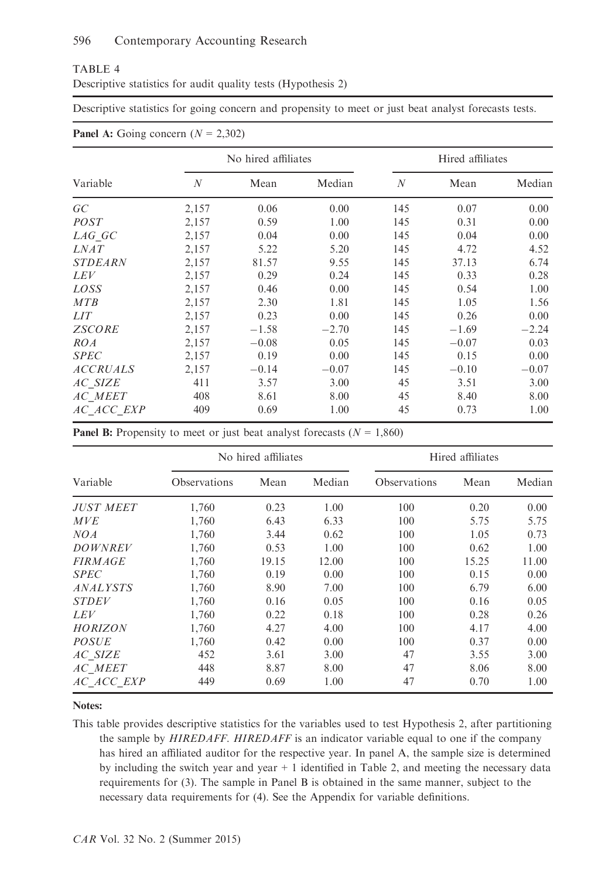# TABLE 4

Descriptive statistics for audit quality tests (Hypothesis 2)

Descriptive statistics for going concern and propensity to meet or just beat analyst forecasts tests.

|                          |       | No hired affiliates |         |     | Hired affiliates |         |
|--------------------------|-------|---------------------|---------|-----|------------------|---------|
| Variable                 | N     | Mean                | Median  | N   | Mean             | Median  |
| GC                       | 2,157 | 0.06                | 0.00    | 145 | 0.07             | 0.00    |
| <i>POST</i>              | 2,157 | 0.59                | 1.00    | 145 | 0.31             | 0.00    |
| LAG GC                   | 2,157 | 0.04                | 0.00    | 145 | 0.04             | 0.00    |
| LNAT                     | 2,157 | 5.22                | 5.20    | 145 | 4.72             | 4.52    |
| <b>STDEARN</b>           | 2,157 | 81.57               | 9.55    | 145 | 37.13            | 6.74    |
| <i>LEV</i>               | 2,157 | 0.29                | 0.24    | 145 | 0.33             | 0.28    |
| LOSS                     | 2,157 | 0.46                | 0.00    | 145 | 0.54             | 1.00    |
| MTB                      | 2,157 | 2.30                | 1.81    | 145 | 1.05             | 1.56    |
| <i>LIT</i>               | 2,157 | 0.23                | 0.00    | 145 | 0.26             | 0.00    |
| <b>ZSCORE</b>            | 2,157 | $-1.58$             | $-2.70$ | 145 | $-1.69$          | $-2.24$ |
| ROA                      | 2,157 | $-0.08$             | 0.05    | 145 | $-0.07$          | 0.03    |
| <b>SPEC</b>              | 2,157 | 0.19                | 0.00    | 145 | 0.15             | 0.00    |
| <i>ACCRUALS</i>          | 2,157 | $-0.14$             | $-0.07$ | 145 | $-0.10$          | $-0.07$ |
| $AC$ <sub>_</sub> $SIZE$ | 411   | 3.57                | 3.00    | 45  | 3.51             | 3.00    |
| AC MEET                  | 408   | 8.61                | 8.00    | 45  | 8.40             | 8.00    |
| $AC\_ACC\_EXP$           | 409   | 0.69                | 1.00    | 45  | 0.73             | 1.00    |

**Panel A:** Going concern  $(N = 2,302)$ 

**Panel B:** Propensity to meet or just beat analyst forecasts ( $N = 1,860$ )

|                  |              | No hired affiliates |        |              | Hired affiliates |        |
|------------------|--------------|---------------------|--------|--------------|------------------|--------|
| Variable         | Observations | Mean                | Median | Observations | Mean             | Median |
| <i>JUST MEET</i> | 1,760        | 0.23                | 1.00   | 100          | 0.20             | 0.00   |
| <i>MVE</i>       | 1,760        | 6.43                | 6.33   | 100          | 5.75             | 5.75   |
| NOA              | 1,760        | 3.44                | 0.62   | 100          | 1.05             | 0.73   |
| <b>DOWNREV</b>   | 1,760        | 0.53                | 1.00   | 100          | 0.62             | 1.00   |
| <b>FIRMAGE</b>   | 1,760        | 19.15               | 12.00  | 100          | 15.25            | 11.00  |
| <b>SPEC</b>      | 1,760        | 0.19                | 0.00   | 100          | 0.15             | 0.00   |
| <i>ANALYSTS</i>  | 1,760        | 8.90                | 7.00   | 100          | 6.79             | 6.00   |
| <b>STDEV</b>     | 1,760        | 0.16                | 0.05   | 100          | 0.16             | 0.05   |
| LEV <sub></sub>  | 1,760        | 0.22                | 0.18   | 100          | 0.28             | 0.26   |
| <b>HORIZON</b>   | 1,760        | 4.27                | 4.00   | 100          | 4.17             | 4.00   |
| <i>POSUE</i>     | 1,760        | 0.42                | 0.00   | 100          | 0.37             | 0.00   |
| AC SIZE          | 452          | 3.61                | 3.00   | 47           | 3.55             | 3.00   |
| AC MEET          | 448          | 8.87                | 8.00   | 47           | 8.06             | 8.00   |
| AC ACC EXP       | 449          | 0.69                | 1.00   | 47           | 0.70             | 1.00   |

#### Notes:

This table provides descriptive statistics for the variables used to test Hypothesis 2, after partitioning the sample by HIREDAFF. HIREDAFF is an indicator variable equal to one if the company has hired an affiliated auditor for the respective year. In panel A, the sample size is determined by including the switch year and year + 1 identified in Table 2, and meeting the necessary data requirements for (3). The sample in Panel B is obtained in the same manner, subject to the necessary data requirements for (4). See the Appendix for variable definitions.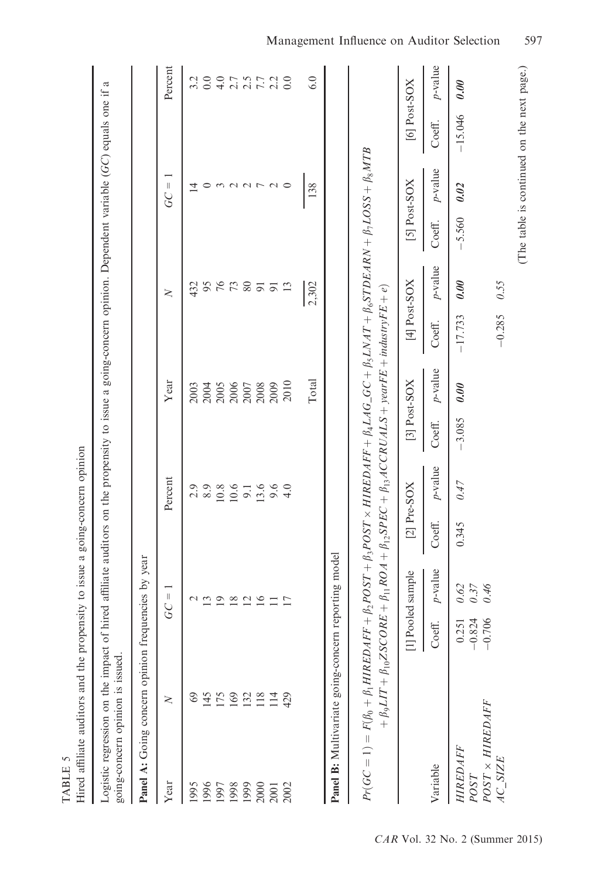| Hired affiliate auditors and the propensity to issue a going-concern opinion                                                                                                               |                                    |                            |                                                                                                     |                                             |          |                      |              |            |          |                                                         |              |                                                                                            |
|--------------------------------------------------------------------------------------------------------------------------------------------------------------------------------------------|------------------------------------|----------------------------|-----------------------------------------------------------------------------------------------------|---------------------------------------------|----------|----------------------|--------------|------------|----------|---------------------------------------------------------|--------------|--------------------------------------------------------------------------------------------|
| Logistic regression on the impact of hired affiliate auditors on the propensity to issue a going-concern opinion. Dependent variable (GC) equals one if<br>going-concern opinion is issued |                                    |                            |                                                                                                     |                                             |          |                      |              |            |          |                                                         |              | a                                                                                          |
| Panel A: Going concern opinion frequen                                                                                                                                                     |                                    | cies by year               |                                                                                                     |                                             |          |                      |              |            |          |                                                         |              |                                                                                            |
| $\geq$<br>Year                                                                                                                                                                             | Ò<br>G                             | $\parallel$                |                                                                                                     | Percent                                     |          | Year                 |              | Z          |          | $GC =$                                                  |              | Percent                                                                                    |
| $\odot$<br>1995                                                                                                                                                                            |                                    |                            |                                                                                                     | 2.9                                         |          | 2003                 |              | 432        |          | ᅼ                                                       |              | 3.2                                                                                        |
| 145<br>1996                                                                                                                                                                                |                                    | $\sim$ $\overline{\Omega}$ |                                                                                                     | 8.9                                         |          | 2004                 |              |            |          | $\circ$                                                 |              | 0.0                                                                                        |
| 175<br>1997                                                                                                                                                                                |                                    | $\overline{19}$            |                                                                                                     |                                             |          | 2005                 |              | 527855     |          |                                                         |              |                                                                                            |
| 169<br>1998                                                                                                                                                                                |                                    |                            |                                                                                                     | $\begin{array}{c} 10.8 \\ 10.6 \end{array}$ |          |                      |              |            |          |                                                         |              |                                                                                            |
| 1999                                                                                                                                                                                       |                                    | $\frac{18}{16}$            |                                                                                                     |                                             |          | 2006<br>2007<br>2008 |              |            |          | $\begin{array}{c} \n 0 \\  0 \\  0 \\  0\n \end{array}$ |              | $\begin{array}{c} 0.75 & 0.75 \\ 0.75 & 0.75 \\ 0.07 & 0.75 \\ 0.07 & 0.07 \\ \end{array}$ |
| $\frac{132}{114}$<br>2000                                                                                                                                                                  |                                    |                            |                                                                                                     | $9.1$<br>$9.6$<br>$9.6$                     |          |                      |              |            |          |                                                         |              |                                                                                            |
| 2001                                                                                                                                                                                       |                                    | $\equiv$                   |                                                                                                     |                                             |          | 2009                 |              |            |          |                                                         |              |                                                                                            |
| 429<br>2002                                                                                                                                                                                |                                    | $\overline{1}$             |                                                                                                     |                                             |          | 2010                 |              |            |          | $\circ$                                                 |              |                                                                                            |
|                                                                                                                                                                                            |                                    |                            |                                                                                                     |                                             |          | Total                |              | 2,302      |          | 138                                                     |              | 6.0                                                                                        |
| Panel B: Multivariate going-concern reporting model                                                                                                                                        |                                    |                            |                                                                                                     |                                             |          |                      |              |            |          |                                                         |              |                                                                                            |
| $\Pr(GC=1)=F(\beta_0+\beta_1HIREDAFF+\beta_2POST+\beta_3POST\times HIREDAFF+\beta_4LAG\_GC+\beta_5LNAT+\beta_6STDEARN+\beta_7LOSS+\beta_8MTB$                                              | $+\beta_9 LIT + \beta_{10} ZSCORE$ |                            | $+ \beta_{11}ROA + \beta_{12} SPEC + \beta_{13} ACCCRUALS + \text{pearFE} + \text{industryFE} + e)$ |                                             |          |                      |              |            |          |                                                         |              |                                                                                            |
|                                                                                                                                                                                            | [1] Pooled sample                  |                            | [2] Pre-SOX                                                                                         |                                             |          | [3] Post-SOX         | [4] Post-SOX |            |          | [5] Post-SOX                                            | [6] Post-SOX |                                                                                            |
| Variable                                                                                                                                                                                   | Coeff.                             | $p$ -value                 | Coeff.                                                                                              | $p$ -value                                  | Coeff.   | $p$ -value           | Coeff.       | $p$ -value | Coeff.   | $p$ -value                                              | Coeff.       | $p$ -value                                                                                 |
| HIREDAFF<br>POST                                                                                                                                                                           | $-0.824$<br>0.251                  | $0.37\,$<br>0.62           | 0.345                                                                                               | 0.47                                        | $-3.085$ | 0.00                 | $-17.733$    | 0.00       | $-5.560$ | 0.02                                                    | $-15.046$    | 0.00                                                                                       |
| POST × HIREDAFF<br>$AC$ <sub>SIZE</sub>                                                                                                                                                    | $-0.706$                           | 0.46                       |                                                                                                     |                                             |          |                      | $-0.285$     | 0.55       |          |                                                         |              |                                                                                            |
|                                                                                                                                                                                            |                                    |                            |                                                                                                     |                                             |          |                      |              |            |          | (The table is continued on the next page.)              |              |                                                                                            |

TABLE 5

TABLE 5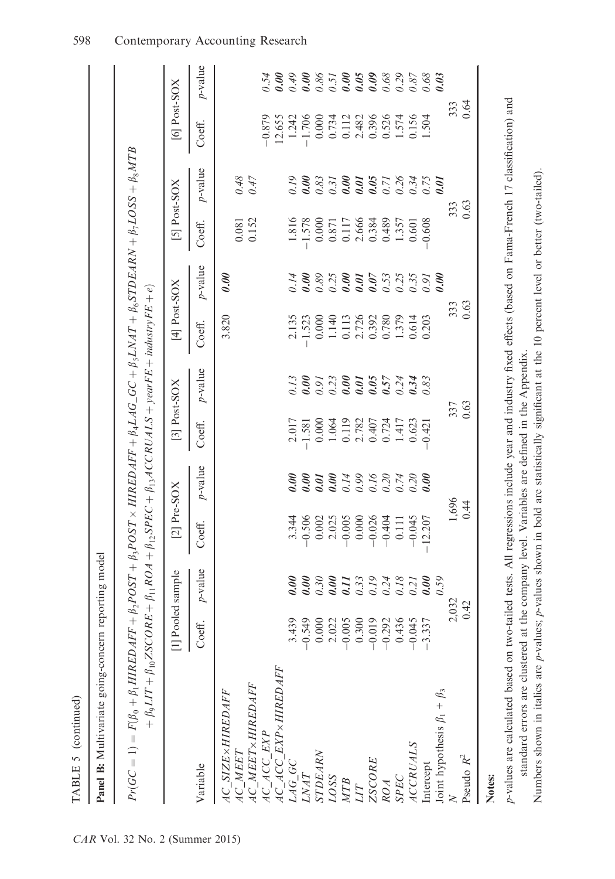| Panel B: Multivariate going-concern reporting model                                                                                                                      |             |                |                                                                                                            |            |                                                                                                                                                 |            |                                                                          |                                |                                    |              |                                                                                                                                                                                                                                                                                                               |            |
|--------------------------------------------------------------------------------------------------------------------------------------------------------------------------|-------------|----------------|------------------------------------------------------------------------------------------------------------|------------|-------------------------------------------------------------------------------------------------------------------------------------------------|------------|--------------------------------------------------------------------------|--------------------------------|------------------------------------|--------------|---------------------------------------------------------------------------------------------------------------------------------------------------------------------------------------------------------------------------------------------------------------------------------------------------------------|------------|
| $+ \beta_9 LIT + \beta_{10} ZSCORE + \beta_{11} ROA + \beta_{12} SPEC + \beta_{13} ACCRUALS + yearFE + industryFE + e)$<br>$Pr(GC = 1) = F(\beta_0 + \beta_1 HIREDAFF +$ |             |                | $\beta_2 POST+\beta_3POST\times HIREDAFF+\beta_4LAG\_GC+\beta_5LNAT+\beta_6STDEARN+\beta_7LOSS+\beta_8MTB$ |            |                                                                                                                                                 |            |                                                                          |                                |                                    |              |                                                                                                                                                                                                                                                                                                               |            |
|                                                                                                                                                                          | $[1]$ Poole | d sample       | [2] Pre-SOX                                                                                                |            | [3] Post-SOX                                                                                                                                    |            | [4] $Post-SOX$                                                           |                                |                                    | [5] Post-SOX | [6] Post-SOX                                                                                                                                                                                                                                                                                                  |            |
| Variable                                                                                                                                                                 | Coeff.      | $p$ -value     | Coeff.                                                                                                     | $p$ -value | Coeff.                                                                                                                                          | $p$ -value | Coeff.                                                                   | $p$ -value                     | Coeff.                             | $p$ -value   | Coeff.                                                                                                                                                                                                                                                                                                        | $p$ -value |
| AC_SIZE×HIREDAFF                                                                                                                                                         |             |                |                                                                                                            |            |                                                                                                                                                 |            | 3.820                                                                    | 0.00                           |                                    |              |                                                                                                                                                                                                                                                                                                               |            |
| AC MEET                                                                                                                                                                  |             |                |                                                                                                            |            |                                                                                                                                                 |            |                                                                          |                                | 0.081                              | 6.48         |                                                                                                                                                                                                                                                                                                               |            |
| AC_MEET×HIREDAFF                                                                                                                                                         |             |                |                                                                                                            |            |                                                                                                                                                 |            |                                                                          |                                | 0.152                              |              |                                                                                                                                                                                                                                                                                                               |            |
| $AC\_ACC\_EXP$                                                                                                                                                           |             |                |                                                                                                            |            |                                                                                                                                                 |            |                                                                          |                                |                                    |              | $-0.879$                                                                                                                                                                                                                                                                                                      |            |
| AC_ACC_EXP×HIREDAFF                                                                                                                                                      |             |                |                                                                                                            |            |                                                                                                                                                 |            |                                                                          |                                |                                    |              |                                                                                                                                                                                                                                                                                                               |            |
| $LAG\_GC$                                                                                                                                                                | 3.439       | 0.00           | 3.344                                                                                                      |            |                                                                                                                                                 |            |                                                                          |                                |                                    |              |                                                                                                                                                                                                                                                                                                               |            |
| <i>LNAT</i>                                                                                                                                                              | $-0.549$    | 0.00           | $-0.506$                                                                                                   |            |                                                                                                                                                 |            |                                                                          |                                | $\frac{1.816}{1.578}$              |              |                                                                                                                                                                                                                                                                                                               |            |
| <b>STDEARN</b>                                                                                                                                                           | 0.000       | 0.30           | 0.002                                                                                                      |            |                                                                                                                                                 |            |                                                                          |                                |                                    |              |                                                                                                                                                                                                                                                                                                               |            |
| <b>SSOT</b>                                                                                                                                                              | 2.022       | 0.00000        | 2.025                                                                                                      |            |                                                                                                                                                 |            |                                                                          |                                | $0.871$<br>0.117<br>2.666<br>2.384 |              |                                                                                                                                                                                                                                                                                                               |            |
| MTB                                                                                                                                                                      | $-0.005$    |                | $-0.005$                                                                                                   |            |                                                                                                                                                 |            |                                                                          |                                |                                    |              |                                                                                                                                                                                                                                                                                                               |            |
| LП                                                                                                                                                                       | 0.300       | 0.33           | 0.000                                                                                                      |            |                                                                                                                                                 |            |                                                                          |                                |                                    |              |                                                                                                                                                                                                                                                                                                               |            |
| <b>ZSCORE</b>                                                                                                                                                            | $-0.019$    |                | $-0.026$                                                                                                   |            |                                                                                                                                                 |            |                                                                          |                                |                                    |              |                                                                                                                                                                                                                                                                                                               |            |
| ROA                                                                                                                                                                      | $-0.292$    | $0.24$<br>0.18 | $-0.404$                                                                                                   |            | $\begin{array}{l} 2.017 \\ -1.581 \\ 0.000 \\ -1.064 \\ 0.119 \\ 0.119 \\ 0.000 \\ -1.417 \\ 0.0140 \\ -1.417 \\ 1.417 \\ 1.417 \\ \end{array}$ |            | 2.135<br>1.523<br>0.000 0.113<br>0.11320 0.780<br>0.11320 0.780<br>0.203 | 1388185658536<br>1388185658556 | 0.489<br>1.357                     |              | $\begin{array}{l} 12.655 \\ 1.242 \\ -1.706 \\ -1.000 \\ 0.01 \\ 0.11 \\ 0.03 \\ 0.396 \\ 0.37 \\ 0.15 \\ 0.15 \\ 0.15 \\ 0.15 \\ 0.15 \\ 0.15 \\ 0.15 \\ 0.15 \\ 0.15 \\ 0.15 \\ 0.15 \\ 0.15 \\ 0.15 \\ 0.15 \\ 0.15 \\ 0.15 \\ 0.15 \\ 0.15 \\ 0.15 \\ 0.15 \\ 0.15 \\ 0.15 \\ 0.15 \\ 0.15 \\ 0.15 \\ 0.$ |            |
| <b>SPEC</b>                                                                                                                                                              | 0.436       |                | 0.111                                                                                                      |            |                                                                                                                                                 |            |                                                                          |                                |                                    |              |                                                                                                                                                                                                                                                                                                               |            |
| <b>ACCRUALS</b>                                                                                                                                                          | $-0.045$    | 0.21           | $-0.045$                                                                                                   |            | 0.623                                                                                                                                           |            |                                                                          |                                | 0.601                              |              |                                                                                                                                                                                                                                                                                                               |            |
| Intercept                                                                                                                                                                | $-3.337$    |                | $-12.207$                                                                                                  |            | (6.42)                                                                                                                                          |            |                                                                          |                                | 0.608                              |              |                                                                                                                                                                                                                                                                                                               |            |
| Joint hypothesis $\beta_1 + \beta_3$                                                                                                                                     |             | 0.59           |                                                                                                            |            |                                                                                                                                                 |            |                                                                          |                                |                                    |              |                                                                                                                                                                                                                                                                                                               |            |
|                                                                                                                                                                          |             | 2,032          | 1,696                                                                                                      |            | 337                                                                                                                                             |            | 333                                                                      |                                |                                    | 333          | 333                                                                                                                                                                                                                                                                                                           |            |
| Pseudo $R^2$                                                                                                                                                             |             | 0.42           | 0.44                                                                                                       |            | 0.63                                                                                                                                            |            | 0.63                                                                     |                                |                                    | 0.63         | 0.64                                                                                                                                                                                                                                                                                                          |            |
| Notes:                                                                                                                                                                   |             |                |                                                                                                            |            |                                                                                                                                                 |            |                                                                          |                                |                                    |              |                                                                                                                                                                                                                                                                                                               |            |

p-values are calculated based on two-tailed tests. All regressions include year and industry fixed effects (based on Fama-French 17 classification) and p-values are calculated based on two-tailed tests. All regressions include year and industry fixed effects (based on Fama-French 17 classification) and standard errors are clustered at the company level. Variables are defined in the Appendix. standard errors are clustered at the company level. Variables are defined in the Appendix.

Numbers shown in italies are  $p$ -values;  $p$ -values shown in bold are statistically significant at the 10 percent level or better (two-tailed). Numbers shown in italics are p-values; p-values shown in bold are statistically significant at the 10 percent level or better (two-tailed).

TABLE 5 (continued)

TABLE 5 (continued)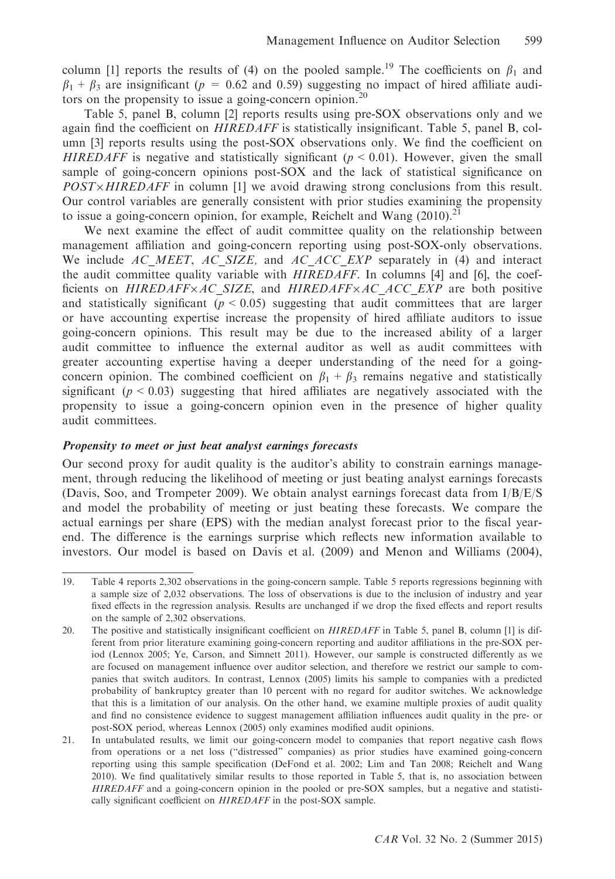column [1] reports the results of (4) on the pooled sample.<sup>19</sup> The coefficients on  $\beta_1$  and  $\beta_1 + \beta_3$  are insignificant (p = 0.62 and 0.59) suggesting no impact of hired affiliate auditors on the propensity to issue a going-concern opinion.<sup>20</sup>

Table 5, panel B, column [2] reports results using pre-SOX observations only and we again find the coefficient on  $HIREDAFF$  is statistically insignificant. Table 5, panel B, column [3] reports results using the post-SOX observations only. We find the coefficient on HIREDAFF is negative and statistically significant ( $p < 0.01$ ). However, given the small sample of going-concern opinions post-SOX and the lack of statistical significance on  $POST \times HIREDAFF$  in column [1] we avoid drawing strong conclusions from this result. Our control variables are generally consistent with prior studies examining the propensity to issue a going-concern opinion, for example, Reichelt and Wang  $(2010)^{21}$ 

We next examine the effect of audit committee quality on the relationship between management affiliation and going-concern reporting using post-SOX-only observations. We include AC MEET, AC SIZE, and AC ACC EXP separately in (4) and interact the audit committee quality variable with HIREDAFF. In columns [4] and [6], the coefficients on  $HIREDAFF \times ACSIZE$ , and  $HIREDAFF \times ACACEXP$  are both positive and statistically significant ( $p < 0.05$ ) suggesting that audit committees that are larger or have accounting expertise increase the propensity of hired affiliate auditors to issue going-concern opinions. This result may be due to the increased ability of a larger audit committee to influence the external auditor as well as audit committees with greater accounting expertise having a deeper understanding of the need for a goingconcern opinion. The combined coefficient on  $\beta_1 + \beta_3$  remains negative and statistically significant  $(p < 0.03)$  suggesting that hired affiliates are negatively associated with the propensity to issue a going-concern opinion even in the presence of higher quality audit committees.

## Propensity to meet or just beat analyst earnings forecasts

Our second proxy for audit quality is the auditor's ability to constrain earnings management, through reducing the likelihood of meeting or just beating analyst earnings forecasts (Davis, Soo, and Trompeter 2009). We obtain analyst earnings forecast data from I/B/E/S and model the probability of meeting or just beating these forecasts. We compare the actual earnings per share (EPS) with the median analyst forecast prior to the fiscal yearend. The difference is the earnings surprise which reflects new information available to investors. Our model is based on Davis et al. (2009) and Menon and Williams (2004),

<sup>19.</sup> Table 4 reports 2,302 observations in the going-concern sample. Table 5 reports regressions beginning with a sample size of 2,032 observations. The loss of observations is due to the inclusion of industry and year fixed effects in the regression analysis. Results are unchanged if we drop the fixed effects and report results on the sample of 2,302 observations.

<sup>20.</sup> The positive and statistically insignificant coefficient on  $HIREDAFF$  in Table 5, panel B, column [1] is different from prior literature examining going-concern reporting and auditor affiliations in the pre-SOX period (Lennox 2005; Ye, Carson, and Simnett 2011). However, our sample is constructed differently as we are focused on management influence over auditor selection, and therefore we restrict our sample to companies that switch auditors. In contrast, Lennox (2005) limits his sample to companies with a predicted probability of bankruptcy greater than 10 percent with no regard for auditor switches. We acknowledge that this is a limitation of our analysis. On the other hand, we examine multiple proxies of audit quality and find no consistence evidence to suggest management affiliation influences audit quality in the pre- or post-SOX period, whereas Lennox (2005) only examines modified audit opinions.

<sup>21.</sup> In untabulated results, we limit our going-concern model to companies that report negative cash flows from operations or a net loss ("distressed" companies) as prior studies have examined going-concern reporting using this sample specification (DeFond et al. 2002; Lim and Tan 2008; Reichelt and Wang 2010). We find qualitatively similar results to those reported in Table 5, that is, no association between HIREDAFF and a going-concern opinion in the pooled or pre-SOX samples, but a negative and statistically significant coefficient on HIREDAFF in the post-SOX sample.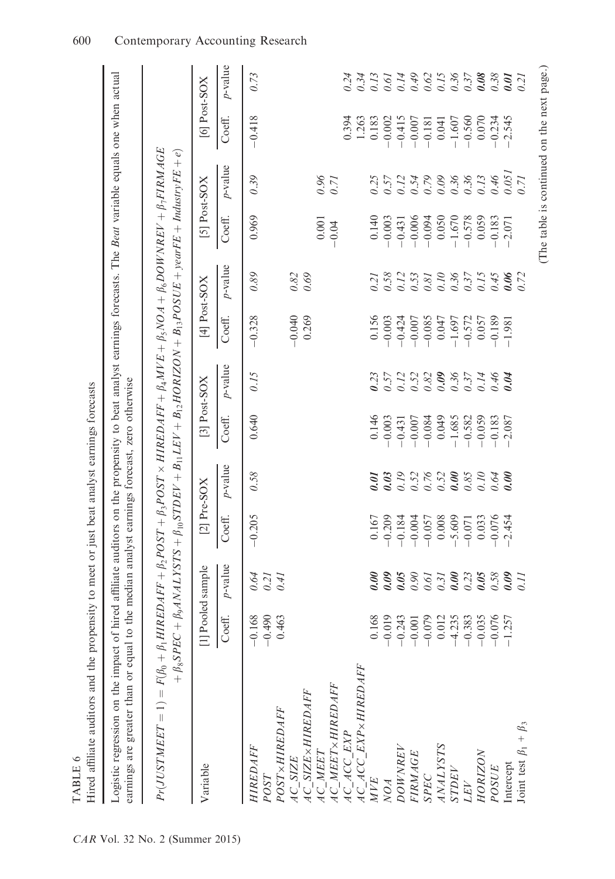| Hired affiliate auditors and the propensity to meet or just beat analyst earnings forecasts<br>TABLE 6                                                                                                                                                            |                                                                                                                                 |                |             |                                                                    |                     |                                |                      |                  |                   |                                |                      |            |
|-------------------------------------------------------------------------------------------------------------------------------------------------------------------------------------------------------------------------------------------------------------------|---------------------------------------------------------------------------------------------------------------------------------|----------------|-------------|--------------------------------------------------------------------|---------------------|--------------------------------|----------------------|------------------|-------------------|--------------------------------|----------------------|------------|
| Logistic regression on the impact of hired affiliate auditors on the propensity to beat analyst earnings forecasts. The <i>Beat</i> variable equals one when actual<br>earnings are greater than or equal to the median analyst earnings forecast, zero otherwise |                                                                                                                                 |                |             |                                                                    |                     |                                |                      |                  |                   |                                |                      |            |
| $Pr(JUSTMEET=1)=F(\beta_0+\beta_1HIREDAFF+\beta_2POST+\beta_3POST\times HIREDAFF+\beta_4MVE+\beta_5NOA+\beta_6DOWNREF+\beta_7FIRMAGEE$                                                                                                                            | $+ \beta_8 SPEC + \beta_9 ANAL YSTS + \beta_{10} STDEF + B_{11} LEV + B_{12} HORIZON + B_{13} POSUE + yearFE + IndustryFE + e)$ |                |             |                                                                    |                     |                                |                      |                  |                   |                                |                      |            |
| Variable                                                                                                                                                                                                                                                          | $[1]$ Pool                                                                                                                      | ed sample      | [2] Pre-SOX |                                                                    | [3] Post-SOX        |                                | [4] Post-SOX         |                  | [5] $Post-SOX$    |                                | [6] $Post-SOX$       |            |
|                                                                                                                                                                                                                                                                   | Coeff.                                                                                                                          | $p$ -value     | Coeff.      | $p$ -value                                                         | Coeff.              | $p$ -value                     | Coeff.               | $p$ -value       | Coeff.            | $p$ -value                     | Coeff.               | $p$ -value |
| HIREDAFF                                                                                                                                                                                                                                                          | $-0.168$                                                                                                                        | 0.64           | $-0.205$    | 0.58                                                               | 0.640               | 0.15                           | $-0.328$             | 0.89             | 0.969             | 0.39                           | $-0.418$             | 0.73       |
| POST×HIREDAFF<br>POST                                                                                                                                                                                                                                             | $-0.490$<br>0.463                                                                                                               | 0.21<br>0.41   |             |                                                                    |                     |                                |                      |                  |                   |                                |                      |            |
| $AC$ <sub>SIZE</sub>                                                                                                                                                                                                                                              |                                                                                                                                 |                |             |                                                                    |                     |                                | $-0.040$             | $0.82\,$         |                   |                                |                      |            |
| AC_SIZE×HIREDAFF                                                                                                                                                                                                                                                  |                                                                                                                                 |                |             |                                                                    |                     |                                | 0.269                | 0.69             |                   |                                |                      |            |
| $AC\_MEET$                                                                                                                                                                                                                                                        |                                                                                                                                 |                |             |                                                                    |                     |                                |                      |                  | 0.001             |                                |                      |            |
| $\label{eq:ac} \begin{array}{c} \multicolumn{3}{c}{{\cal A}C\_MEET \times HIREDAFF} \end{array}$                                                                                                                                                                  |                                                                                                                                 |                |             |                                                                    |                     |                                |                      |                  | $-0.04$           |                                |                      |            |
| $AC\_ACC\_EXP$                                                                                                                                                                                                                                                    |                                                                                                                                 |                |             |                                                                    |                     |                                |                      |                  |                   |                                | 0.394                | 9.24       |
| AC_ACC_EXP×HIREDAFF                                                                                                                                                                                                                                               |                                                                                                                                 |                |             |                                                                    |                     |                                |                      |                  |                   |                                | 1.263                |            |
| MVE                                                                                                                                                                                                                                                               | 0.168                                                                                                                           | 0.00           | 0.167       | $\overline{\omega}$                                                | $0.146$<br>$-0.003$ | 0.23                           | 0.156                | 0.21             | 0.140             | 0.25                           | 0.183                |            |
| NOA                                                                                                                                                                                                                                                               | $-0.019$                                                                                                                        | 0.09           | $-0.209$    | 0.03                                                               |                     | 0.57                           | $-0.003$             | 0.58             | $-0.003$          | 0.57                           | $-0.002$             |            |
| <b>DOWNREV</b>                                                                                                                                                                                                                                                    | $-0.243$                                                                                                                        | 0.05           | $-0.184$    | 0.19                                                               | $-0.431$            | 0.12                           | $-0.424$<br>$-0.007$ | 0.12             | $-0.431$          | 0.74<br>0.54<br>0.79           | $-0.415$             |            |
| FIRMAGE                                                                                                                                                                                                                                                           | $-0.001$                                                                                                                        | 0.90           | $-0.004$    | 0.52                                                               | $-0.007$            | 0.52                           |                      | $0.53$<br>$0.81$ | $-0.006$          |                                | $-0.007$             |            |
| <b>SPEC</b>                                                                                                                                                                                                                                                       | $-0.079$                                                                                                                        | 0.61           | $-0.057$    |                                                                    | $-0.084$            | 0.82                           | $-0.085$             |                  | $-0.094$          |                                | $-0.181$             |            |
| <b>ANALYSTS</b>                                                                                                                                                                                                                                                   | 0.012                                                                                                                           | 0.31           | 0.008       |                                                                    | 0.049               | 0.09                           | 0.047                | 0.10             | 0.050             | 0.09                           | 0.041                |            |
| STDEV                                                                                                                                                                                                                                                             | $-4.235$                                                                                                                        | $0.00$<br>0.23 | $-5.609$    | $0.76$<br>$0.52$<br>$0.85$<br>$0.32$<br>$0.30$<br>$0.30$<br>$0.30$ | $-1.685$            | $0.36$<br>0.37<br>0.46<br>0.04 | $-1.697$             | $0.36$<br>0.37   | $-1.670$          | $0.36$<br>0.36<br>0.13<br>0.46 | $-1.607$             |            |
| LEV                                                                                                                                                                                                                                                               | $-0.383$                                                                                                                        |                | $-0.071$    |                                                                    | $-0.582$            |                                | $-0.572$             |                  | $-0.578$<br>0.059 |                                | $-0.560$             |            |
| HORIZON                                                                                                                                                                                                                                                           | $-0.035$                                                                                                                        |                | 0.033       |                                                                    | $-0.059$            |                                | 0.057                |                  |                   |                                | 0.070                |            |
| POSUE                                                                                                                                                                                                                                                             | $-0.076$                                                                                                                        | 0.58           | $-0.076$    |                                                                    | $-0.183$            |                                | $-0.189$<br>$-1.981$ | 0.45             | $-0.183$          |                                | $-0.234$<br>$-2.545$ |            |
| Intercept                                                                                                                                                                                                                                                         | $-1.257$                                                                                                                        |                | $-2.454$    |                                                                    | $-2.087$            |                                |                      |                  | $-2.071$          | 0.051                          |                      |            |
| Joint test $\beta_1 + \beta_3$                                                                                                                                                                                                                                    |                                                                                                                                 | 0.11           |             |                                                                    |                     |                                |                      | 9.72             |                   | 9.71                           |                      |            |

(The table is continued on the next page.)

(The table is continued on the next page.)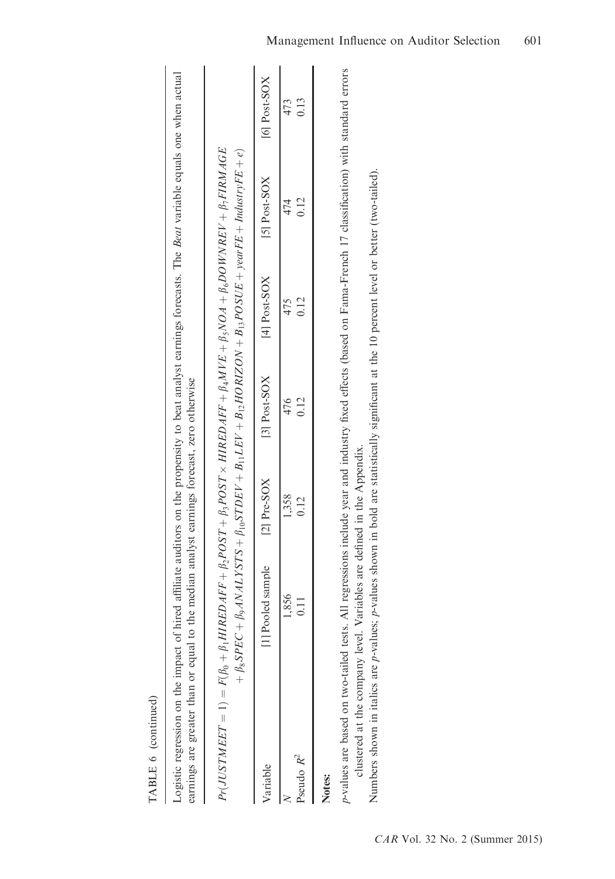| earnings are greater than or equal to the median analyst earnings forecast, zero otherwise                                            |                                                                                                                                           |               |              |              |              |              |
|---------------------------------------------------------------------------------------------------------------------------------------|-------------------------------------------------------------------------------------------------------------------------------------------|---------------|--------------|--------------|--------------|--------------|
| $Pr(JUSTMLET=1)=F(\beta_0+\beta_1HIREDAFF+\beta_2POST+\beta_3POST\times HIREDAFF+\beta_4MVE+\beta_5NOA+\beta_6DOWNREV+\beta_7FIRMAGE$ | $+ \beta_8 SPEC + \beta_9 ANAL YSTS + \beta_{10} STDEF + \beta_{11} LEV + B_{12} HORIZON + B_{13} POSUE + \gamma earFE + IndustryFE + e)$ |               |              |              |              |              |
| Variable                                                                                                                              | [1] Pooled sample                                                                                                                         | [2] Pre-SOX   | [3] Post-SOX | [4] Post-SOX | [5] Post-SOX | [6] Post-SOX |
| Pseudo $R^2$                                                                                                                          | 1,856                                                                                                                                     | 1,358<br>0.12 | 0.12<br>476  | 0.12<br>475  | 0.12<br>474  | 0.13<br>473  |
| Notes:                                                                                                                                |                                                                                                                                           |               |              |              |              |              |

TABLE 6 (continued) TABLE 6 (continued) Logistic regression on the impact of hired affiliate auditors on the propensity to beat analyst earnings forecasts. The *Beat* variable equals one when actual Logistic regression on the impact of hired affiliate auditors on the propensity to beat analyst earnings forecasts. The Beat variable equals one when actual p-values are based on two-tailed tests. All regressions include year and industry fixed effects (based on Fama-French 17 classification) with standard errors p-values are based on two-tailed tests. All regressions include year and industry fixed effects (based on Fama-French 17 classification) with standard errors clustered at the company level. Variables are defined in the Appendix. clustered at the company level. Variables are defined in the Appendix.

Numbers shown in italics are Numbers shown in italies are p-values; p-values shown in bold are statistically significant at the 10 percent level or better (two-tailed). p-values shown in bold are statistically significant at the 10 percent level or better (two-tailed).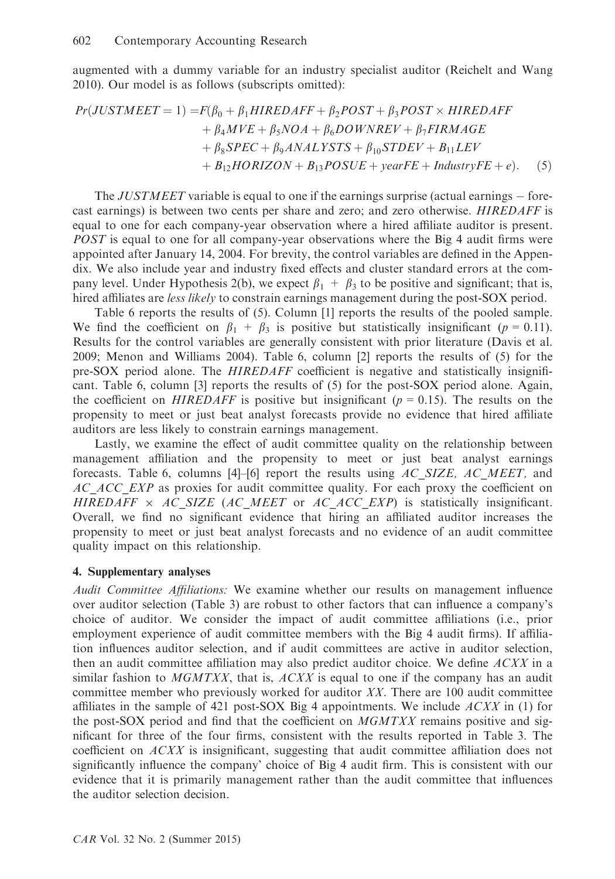augmented with a dummy variable for an industry specialist auditor (Reichelt and Wang 2010). Our model is as follows (subscripts omitted):

$$
Pr(JUSTMLET = 1) = F(\beta_0 + \beta_1 HIREDAFF + \beta_2 POST + \beta_3 POST \times HIREDAFF + \beta_4 MVE + \beta_5 NOA + \beta_6 DOWNREV + \beta_7 FIRMAGE + \beta_8 SPEC + \beta_9 ANALYSIS + \beta_{10} STDEV + B_{11} LEV + B_{12} HORIZON + B_{13} POSUE + yearFE + IndustryFE + e).
$$
 (5)

The *JUSTMEET* variable is equal to one if the earnings surprise (actual earnings  $-$  forecast earnings) is between two cents per share and zero; and zero otherwise. HIREDAFF is equal to one for each company-year observation where a hired affiliate auditor is present. POST is equal to one for all company-year observations where the Big 4 audit firms were appointed after January 14, 2004. For brevity, the control variables are defined in the Appendix. We also include year and industry fixed effects and cluster standard errors at the company level. Under Hypothesis 2(b), we expect  $\beta_1 + \beta_3$  to be positive and significant; that is, hired affiliates are *less likely* to constrain earnings management during the post-SOX period.

Table 6 reports the results of (5). Column [1] reports the results of the pooled sample. We find the coefficient on  $\beta_1 + \beta_3$  is positive but statistically insignificant ( $p = 0.11$ ). Results for the control variables are generally consistent with prior literature (Davis et al. 2009; Menon and Williams 2004). Table 6, column [2] reports the results of (5) for the pre-SOX period alone. The HIREDAFF coefficient is negative and statistically insignificant. Table 6, column [3] reports the results of (5) for the post-SOX period alone. Again, the coefficient on HIREDAFF is positive but insignificant ( $p = 0.15$ ). The results on the propensity to meet or just beat analyst forecasts provide no evidence that hired affiliate auditors are less likely to constrain earnings management.

Lastly, we examine the effect of audit committee quality on the relationship between management affiliation and the propensity to meet or just beat analyst earnings forecasts. Table 6, columns  $[4]-[6]$  report the results using AC\_SIZE, AC\_MEET, and AC ACC\_EXP as proxies for audit committee quality. For each proxy the coefficient on HIREDAFF  $\times$  AC\_SIZE (AC\_MEET or AC\_ACC\_EXP) is statistically insignificant. Overall, we find no significant evidence that hiring an affiliated auditor increases the propensity to meet or just beat analyst forecasts and no evidence of an audit committee quality impact on this relationship.

## 4. Supplementary analyses

Audit Committee Affiliations: We examine whether our results on management influence over auditor selection (Table 3) are robust to other factors that can influence a company's choice of auditor. We consider the impact of audit committee affiliations (i.e., prior employment experience of audit committee members with the Big 4 audit firms). If affiliation influences auditor selection, and if audit committees are active in auditor selection, then an audit committee affiliation may also predict auditor choice. We define  $ACXX$  in a similar fashion to  $MGMTXX$ , that is,  $ACXX$  is equal to one if the company has an audit committee member who previously worked for auditor XX. There are 100 audit committee affiliates in the sample of 421 post-SOX Big 4 appointments. We include  $ACXX$  in (1) for the post-SOX period and find that the coefficient on MGMTXX remains positive and significant for three of the four firms, consistent with the results reported in Table 3. The coefficient on ACXX is insignificant, suggesting that audit committee affiliation does not significantly influence the company' choice of Big 4 audit firm. This is consistent with our evidence that it is primarily management rather than the audit committee that influences the auditor selection decision.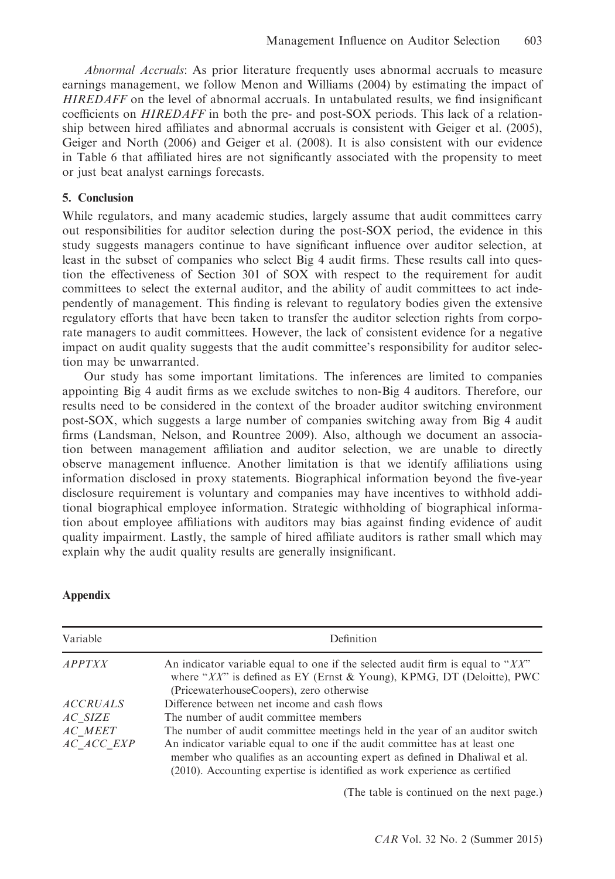Abnormal Accruals: As prior literature frequently uses abnormal accruals to measure earnings management, we follow Menon and Williams (2004) by estimating the impact of HIREDAFF on the level of abnormal accruals. In untabulated results, we find insignificant coefficients on HIREDAFF in both the pre- and post-SOX periods. This lack of a relationship between hired affiliates and abnormal accruals is consistent with Geiger et al. (2005), Geiger and North (2006) and Geiger et al. (2008). It is also consistent with our evidence in Table 6 that affiliated hires are not significantly associated with the propensity to meet or just beat analyst earnings forecasts.

#### 5. Conclusion

While regulators, and many academic studies, largely assume that audit committees carry out responsibilities for auditor selection during the post-SOX period, the evidence in this study suggests managers continue to have significant influence over auditor selection, at least in the subset of companies who select Big 4 audit firms. These results call into question the effectiveness of Section 301 of SOX with respect to the requirement for audit committees to select the external auditor, and the ability of audit committees to act independently of management. This finding is relevant to regulatory bodies given the extensive regulatory efforts that have been taken to transfer the auditor selection rights from corporate managers to audit committees. However, the lack of consistent evidence for a negative impact on audit quality suggests that the audit committee's responsibility for auditor selection may be unwarranted.

Our study has some important limitations. The inferences are limited to companies appointing Big 4 audit firms as we exclude switches to non-Big 4 auditors. Therefore, our results need to be considered in the context of the broader auditor switching environment post-SOX, which suggests a large number of companies switching away from Big 4 audit firms (Landsman, Nelson, and Rountree 2009). Also, although we document an association between management affiliation and auditor selection, we are unable to directly observe management influence. Another limitation is that we identify affiliations using information disclosed in proxy statements. Biographical information beyond the five-year disclosure requirement is voluntary and companies may have incentives to withhold additional biographical employee information. Strategic withholding of biographical information about employee affiliations with auditors may bias against finding evidence of audit quality impairment. Lastly, the sample of hired affiliate auditors is rather small which may explain why the audit quality results are generally insignificant.

## Appendix

| Variable                                               | Definition                                                                                                                                                                                                                                                                                                                                                                                                      |
|--------------------------------------------------------|-----------------------------------------------------------------------------------------------------------------------------------------------------------------------------------------------------------------------------------------------------------------------------------------------------------------------------------------------------------------------------------------------------------------|
| <i>APPTXX</i>                                          | An indicator variable equal to one if the selected audit firm is equal to " $XX$ "<br>where " $XX$ " is defined as EY (Ernst & Young), KPMG, DT (Deloitte), PWC<br>(PricewaterhouseCoopers), zero otherwise                                                                                                                                                                                                     |
| <b>ACCRUALS</b><br>AC SIZE<br>$AC\_MEET$<br>AC ACC EXP | Difference between net income and cash flows<br>The number of audit committee members<br>The number of audit committee meetings held in the year of an auditor switch<br>An indicator variable equal to one if the audit committee has at least one<br>member who qualifies as an accounting expert as defined in Dhaliwal et al.<br>(2010). Accounting expertise is identified as work experience as certified |

(The table is continued on the next page.)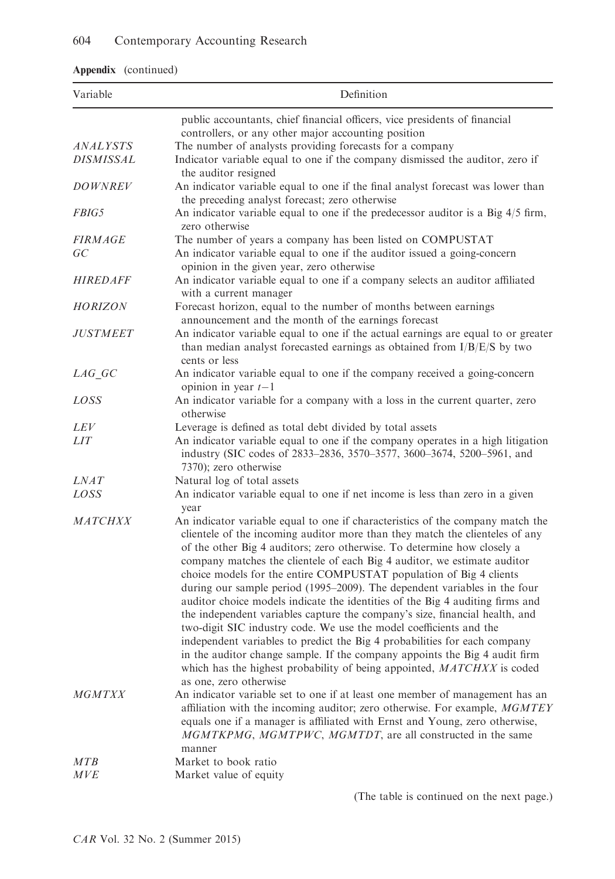| Appendix | (continued) |
|----------|-------------|
|----------|-------------|

| Variable         | Definition                                                                                                                                                                                                                                                                                                                                                                                                                                                                                                                                                                                                                                                                                                                                                                                                                                                                                                                                                                    |
|------------------|-------------------------------------------------------------------------------------------------------------------------------------------------------------------------------------------------------------------------------------------------------------------------------------------------------------------------------------------------------------------------------------------------------------------------------------------------------------------------------------------------------------------------------------------------------------------------------------------------------------------------------------------------------------------------------------------------------------------------------------------------------------------------------------------------------------------------------------------------------------------------------------------------------------------------------------------------------------------------------|
|                  | public accountants, chief financial officers, vice presidents of financial                                                                                                                                                                                                                                                                                                                                                                                                                                                                                                                                                                                                                                                                                                                                                                                                                                                                                                    |
|                  | controllers, or any other major accounting position                                                                                                                                                                                                                                                                                                                                                                                                                                                                                                                                                                                                                                                                                                                                                                                                                                                                                                                           |
| <i>ANALYSTS</i>  | The number of analysts providing forecasts for a company                                                                                                                                                                                                                                                                                                                                                                                                                                                                                                                                                                                                                                                                                                                                                                                                                                                                                                                      |
| <b>DISMISSAL</b> | Indicator variable equal to one if the company dismissed the auditor, zero if<br>the auditor resigned                                                                                                                                                                                                                                                                                                                                                                                                                                                                                                                                                                                                                                                                                                                                                                                                                                                                         |
| <i>DOWNREV</i>   | An indicator variable equal to one if the final analyst forecast was lower than<br>the preceding analyst forecast; zero otherwise                                                                                                                                                                                                                                                                                                                                                                                                                                                                                                                                                                                                                                                                                                                                                                                                                                             |
| <i>FBIG5</i>     | An indicator variable equal to one if the predecessor auditor is a Big 4/5 firm,<br>zero otherwise                                                                                                                                                                                                                                                                                                                                                                                                                                                                                                                                                                                                                                                                                                                                                                                                                                                                            |
| <i>FIRMAGE</i>   | The number of years a company has been listed on COMPUSTAT                                                                                                                                                                                                                                                                                                                                                                                                                                                                                                                                                                                                                                                                                                                                                                                                                                                                                                                    |
| GC               | An indicator variable equal to one if the auditor issued a going-concern<br>opinion in the given year, zero otherwise                                                                                                                                                                                                                                                                                                                                                                                                                                                                                                                                                                                                                                                                                                                                                                                                                                                         |
| HIREDAFF         | An indicator variable equal to one if a company selects an auditor affiliated<br>with a current manager                                                                                                                                                                                                                                                                                                                                                                                                                                                                                                                                                                                                                                                                                                                                                                                                                                                                       |
| HORIZON          | Forecast horizon, equal to the number of months between earnings<br>announcement and the month of the earnings forecast                                                                                                                                                                                                                                                                                                                                                                                                                                                                                                                                                                                                                                                                                                                                                                                                                                                       |
| <i>JUSTMEET</i>  | An indicator variable equal to one if the actual earnings are equal to or greater<br>than median analyst forecasted earnings as obtained from I/B/E/S by two<br>cents or less                                                                                                                                                                                                                                                                                                                                                                                                                                                                                                                                                                                                                                                                                                                                                                                                 |
| $LAG_GC$         | An indicator variable equal to one if the company received a going-concern<br>opinion in year $t-1$                                                                                                                                                                                                                                                                                                                                                                                                                                                                                                                                                                                                                                                                                                                                                                                                                                                                           |
| LOSS             | An indicator variable for a company with a loss in the current quarter, zero<br>otherwise                                                                                                                                                                                                                                                                                                                                                                                                                                                                                                                                                                                                                                                                                                                                                                                                                                                                                     |
| <i>LEV</i>       | Leverage is defined as total debt divided by total assets                                                                                                                                                                                                                                                                                                                                                                                                                                                                                                                                                                                                                                                                                                                                                                                                                                                                                                                     |
| LIT              | An indicator variable equal to one if the company operates in a high litigation<br>industry (SIC codes of 2833-2836, 3570-3577, 3600-3674, 5200-5961, and<br>7370); zero otherwise                                                                                                                                                                                                                                                                                                                                                                                                                                                                                                                                                                                                                                                                                                                                                                                            |
| <i>LNAT</i>      | Natural log of total assets                                                                                                                                                                                                                                                                                                                                                                                                                                                                                                                                                                                                                                                                                                                                                                                                                                                                                                                                                   |
| LOSS             | An indicator variable equal to one if net income is less than zero in a given<br>year                                                                                                                                                                                                                                                                                                                                                                                                                                                                                                                                                                                                                                                                                                                                                                                                                                                                                         |
| <i>MATCHXX</i>   | An indicator variable equal to one if characteristics of the company match the<br>clientele of the incoming auditor more than they match the clienteles of any<br>of the other Big 4 auditors; zero otherwise. To determine how closely a<br>company matches the clientele of each Big 4 auditor, we estimate auditor<br>choice models for the entire COMPUSTAT population of Big 4 clients<br>during our sample period (1995–2009). The dependent variables in the four<br>auditor choice models indicate the identities of the Big 4 auditing firms and<br>the independent variables capture the company's size, financial health, and<br>two-digit SIC industry code. We use the model coefficients and the<br>independent variables to predict the Big 4 probabilities for each company<br>in the auditor change sample. If the company appoints the Big 4 audit firm<br>which has the highest probability of being appointed, MATCHXX is coded<br>as one, zero otherwise |
| <i>MGMTXX</i>    | An indicator variable set to one if at least one member of management has an<br>affiliation with the incoming auditor; zero otherwise. For example, MGMTEY<br>equals one if a manager is affiliated with Ernst and Young, zero otherwise,<br>MGMTKPMG, MGMTPWC, MGMTDT, are all constructed in the same<br>manner                                                                                                                                                                                                                                                                                                                                                                                                                                                                                                                                                                                                                                                             |
| MTB              | Market to book ratio                                                                                                                                                                                                                                                                                                                                                                                                                                                                                                                                                                                                                                                                                                                                                                                                                                                                                                                                                          |
| <i>MVE</i>       | Market value of equity                                                                                                                                                                                                                                                                                                                                                                                                                                                                                                                                                                                                                                                                                                                                                                                                                                                                                                                                                        |

(The table is continued on the next page.)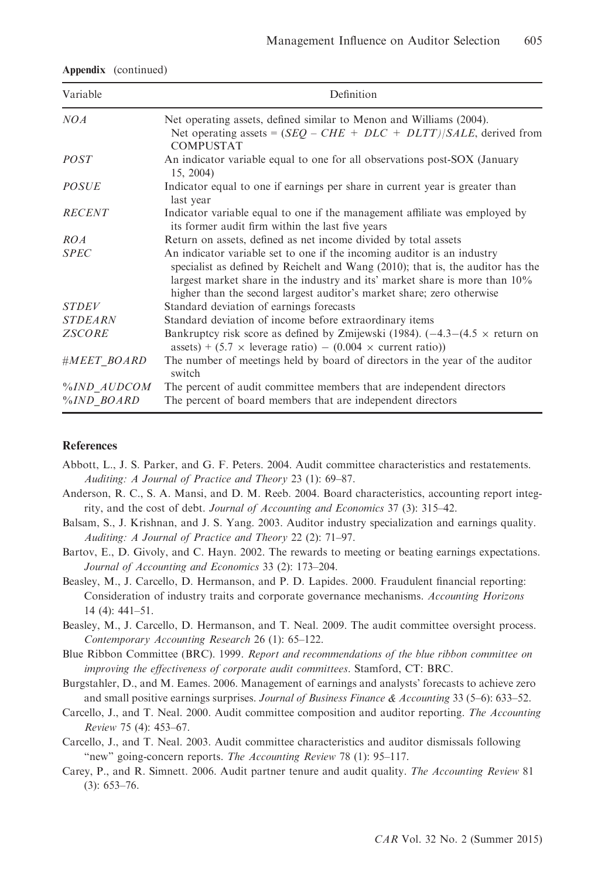| Variable       | Definition                                                                                                                                                                                                                                                                                                            |
|----------------|-----------------------------------------------------------------------------------------------------------------------------------------------------------------------------------------------------------------------------------------------------------------------------------------------------------------------|
| NOA            | Net operating assets, defined similar to Menon and Williams (2004).<br>Net operating assets = $(SEQ - CHE + DIC + DLT)/SALE$ , derived from<br><b>COMPUSTAT</b>                                                                                                                                                       |
| <i>POST</i>    | An indicator variable equal to one for all observations post-SOX (January<br>15, 2004)                                                                                                                                                                                                                                |
| <b>POSUE</b>   | Indicator equal to one if earnings per share in current year is greater than<br>last year                                                                                                                                                                                                                             |
| <b>RECENT</b>  | Indicator variable equal to one if the management affiliate was employed by<br>its former audit firm within the last five years                                                                                                                                                                                       |
| ROA            | Return on assets, defined as net income divided by total assets                                                                                                                                                                                                                                                       |
| <b>SPEC</b>    | An indicator variable set to one if the incoming auditor is an industry<br>specialist as defined by Reichelt and Wang (2010); that is, the auditor has the<br>largest market share in the industry and its' market share is more than $10\%$<br>higher than the second largest auditor's market share; zero otherwise |
| <b>STDEV</b>   | Standard deviation of earnings forecasts                                                                                                                                                                                                                                                                              |
| <b>STDEARN</b> | Standard deviation of income before extraordinary items                                                                                                                                                                                                                                                               |
| <i>ZSCORE</i>  | Bankruptcy risk score as defined by Zmijewski (1984). $(-4.3 - (4.5 \times$ return on<br>assets) + $(5.7 \times \text{leverage ratio}) - (0.004 \times \text{current ratio}))$                                                                                                                                        |
| #MEET BOARD    | The number of meetings held by board of directors in the year of the auditor<br>switch                                                                                                                                                                                                                                |
| %IND AUDCOM    | The percent of audit committee members that are independent directors                                                                                                                                                                                                                                                 |
| $\%IND$ BOARD  | The percent of board members that are independent directors                                                                                                                                                                                                                                                           |

#### Appendix (continued)

## References

- Abbott, L., J. S. Parker, and G. F. Peters. 2004. Audit committee characteristics and restatements. Auditing: A Journal of Practice and Theory 23 (1): 69–87.
- Anderson, R. C., S. A. Mansi, and D. M. Reeb. 2004. Board characteristics, accounting report integrity, and the cost of debt. Journal of Accounting and Economics 37 (3): 315–42.
- Balsam, S., J. Krishnan, and J. S. Yang. 2003. Auditor industry specialization and earnings quality. Auditing: A Journal of Practice and Theory 22 (2): 71–97.
- Bartov, E., D. Givoly, and C. Hayn. 2002. The rewards to meeting or beating earnings expectations. Journal of Accounting and Economics 33 (2): 173–204.
- Beasley, M., J. Carcello, D. Hermanson, and P. D. Lapides. 2000. Fraudulent financial reporting: Consideration of industry traits and corporate governance mechanisms. Accounting Horizons 14 (4): 441–51.
- Beasley, M., J. Carcello, D. Hermanson, and T. Neal. 2009. The audit committee oversight process. Contemporary Accounting Research 26 (1): 65–122.
- Blue Ribbon Committee (BRC). 1999. Report and recommendations of the blue ribbon committee on improving the effectiveness of corporate audit committees. Stamford, CT: BRC.
- Burgstahler, D., and M. Eames. 2006. Management of earnings and analysts' forecasts to achieve zero and small positive earnings surprises. Journal of Business Finance & Accounting 33 (5–6): 633–52.
- Carcello, J., and T. Neal. 2000. Audit committee composition and auditor reporting. The Accounting Review 75 (4): 453–67.
- Carcello, J., and T. Neal. 2003. Audit committee characteristics and auditor dismissals following "new" going-concern reports. The Accounting Review 78 (1): 95-117.
- Carey, P., and R. Simnett. 2006. Audit partner tenure and audit quality. The Accounting Review 81 (3): 653–76.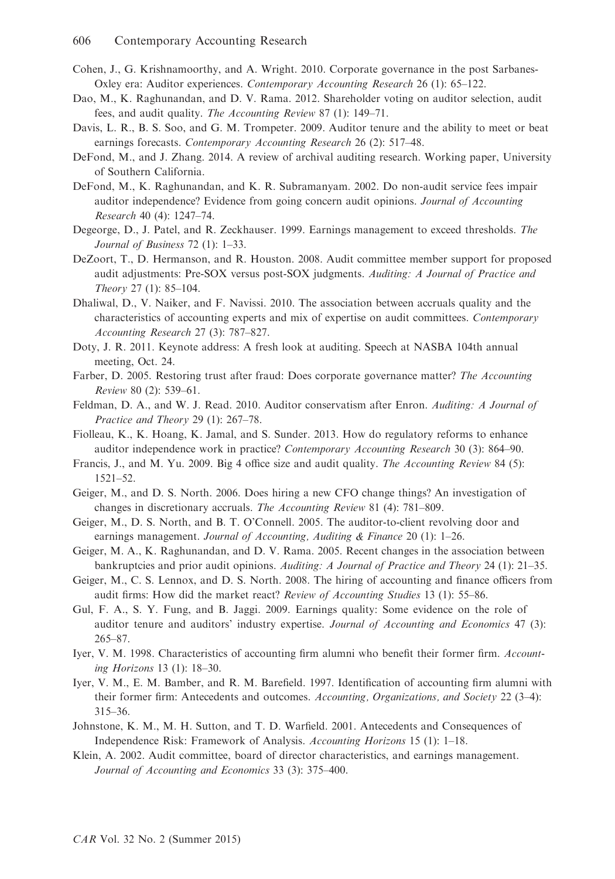- Cohen, J., G. Krishnamoorthy, and A. Wright. 2010. Corporate governance in the post Sarbanes-Oxley era: Auditor experiences. Contemporary Accounting Research 26 (1): 65–122.
- Dao, M., K. Raghunandan, and D. V. Rama. 2012. Shareholder voting on auditor selection, audit fees, and audit quality. The Accounting Review 87 (1): 149–71.
- Davis, L. R., B. S. Soo, and G. M. Trompeter. 2009. Auditor tenure and the ability to meet or beat earnings forecasts. Contemporary Accounting Research 26 (2): 517–48.
- DeFond, M., and J. Zhang. 2014. A review of archival auditing research. Working paper, University of Southern California.
- DeFond, M., K. Raghunandan, and K. R. Subramanyam. 2002. Do non-audit service fees impair auditor independence? Evidence from going concern audit opinions. Journal of Accounting Research 40 (4): 1247–74.
- Degeorge, D., J. Patel, and R. Zeckhauser. 1999. Earnings management to exceed thresholds. The Journal of Business 72 (1): 1–33.
- DeZoort, T., D. Hermanson, and R. Houston. 2008. Audit committee member support for proposed audit adjustments: Pre-SOX versus post-SOX judgments. Auditing: A Journal of Practice and Theory 27 (1): 85–104.
- Dhaliwal, D., V. Naiker, and F. Navissi. 2010. The association between accruals quality and the characteristics of accounting experts and mix of expertise on audit committees. Contemporary Accounting Research 27 (3): 787–827.
- Doty, J. R. 2011. Keynote address: A fresh look at auditing. Speech at NASBA 104th annual meeting, Oct. 24.
- Farber, D. 2005. Restoring trust after fraud: Does corporate governance matter? The Accounting Review 80 (2): 539–61.
- Feldman, D. A., and W. J. Read. 2010. Auditor conservatism after Enron. Auditing: A Journal of Practice and Theory 29 (1): 267–78.
- Fiolleau, K., K. Hoang, K. Jamal, and S. Sunder. 2013. How do regulatory reforms to enhance auditor independence work in practice? Contemporary Accounting Research 30 (3): 864–90.
- Francis, J., and M. Yu. 2009. Big 4 office size and audit quality. The Accounting Review 84 (5): 1521–52.
- Geiger, M., and D. S. North. 2006. Does hiring a new CFO change things? An investigation of changes in discretionary accruals. The Accounting Review 81 (4): 781–809.
- Geiger, M., D. S. North, and B. T. O'Connell. 2005. The auditor-to-client revolving door and earnings management. Journal of Accounting, Auditing & Finance 20 (1): 1-26.
- Geiger, M. A., K. Raghunandan, and D. V. Rama. 2005. Recent changes in the association between bankruptcies and prior audit opinions. Auditing: A Journal of Practice and Theory 24 (1): 21–35.
- Geiger, M., C. S. Lennox, and D. S. North. 2008. The hiring of accounting and finance officers from audit firms: How did the market react? Review of Accounting Studies 13 (1): 55–86.
- Gul, F. A., S. Y. Fung, and B. Jaggi. 2009. Earnings quality: Some evidence on the role of auditor tenure and auditors' industry expertise. Journal of Accounting and Economics 47 (3): 265–87.
- Iyer, V. M. 1998. Characteristics of accounting firm alumni who benefit their former firm. Accounting Horizons 13 (1): 18–30.
- Iyer, V. M., E. M. Bamber, and R. M. Barefield. 1997. Identification of accounting firm alumni with their former firm: Antecedents and outcomes. Accounting, Organizations, and Society 22 (3-4): 315–36.
- Johnstone, K. M., M. H. Sutton, and T. D. Warfield. 2001. Antecedents and Consequences of Independence Risk: Framework of Analysis. Accounting Horizons 15 (1): 1–18.
- Klein, A. 2002. Audit committee, board of director characteristics, and earnings management. Journal of Accounting and Economics 33 (3): 375–400.